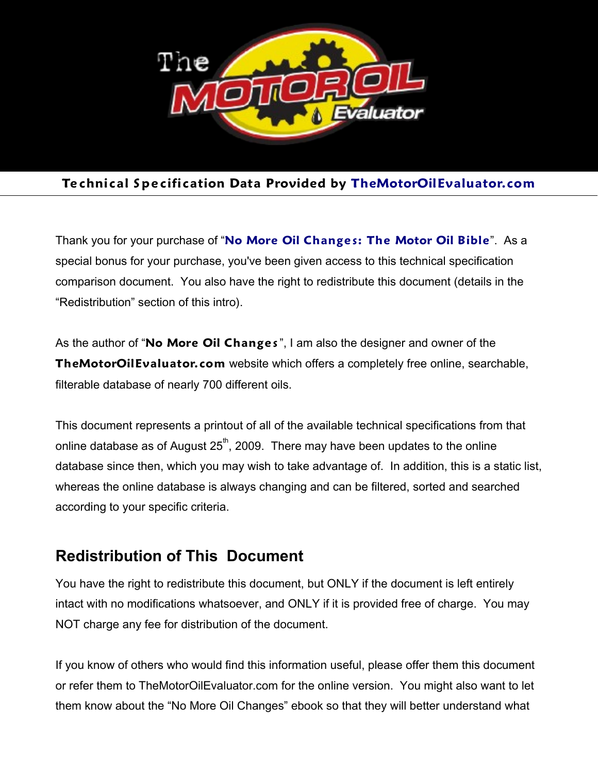

## **Te chnical S pe cification Data Provided by [TheMotorOilEvaluator.com](http://Members.TheMotorOilEvaluator.com/)**

Thank you for your purchase of "**[No More Oil Change s: The Motor Oil Bible](http://MotorOilBible.com/)**". As a special bonus for your purchase, you've been given access to this technical specification comparison document. You also have the right to redistribute this document (details in the "Redistribution" section of this intro).

As the author of "**No More Oil Change s**", I am also the designer and owner of the **TheMotorOilEvaluator.com** website which offers a completely free online, searchable, filterable database of nearly 700 different oils.

This document represents a printout of all of the available technical specifications from that online database as of August  $25<sup>th</sup>$ , 2009. There may have been updates to the online database since then, which you may wish to take advantage of. In addition, this is a static list, whereas the online database is always changing and can be filtered, sorted and searched according to your specific criteria.

## **Redistribution of This Document**

You have the right to redistribute this document, but ONLY if the document is left entirely intact with no modifications whatsoever, and ONLY if it is provided free of charge. You may NOT charge any fee for distribution of the document.

If you know of others who would find this information useful, please offer them this document or refer them to TheMotorOilEvaluator.com for the online version. You might also want to let them know about the "No More Oil Changes" ebook so that they will better understand what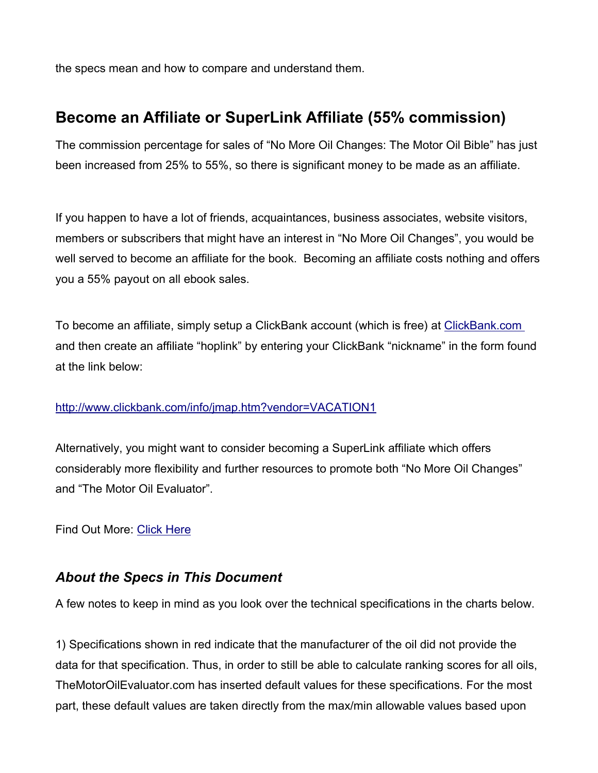the specs mean and how to compare and understand them.

# **Become an Affiliate or SuperLink Affiliate (55% commission)**

The commission percentage for sales of "No More Oil Changes: The Motor Oil Bible" has just been increased from 25% to 55%, so there is significant money to be made as an affiliate.

If you happen to have a lot of friends, acquaintances, business associates, website visitors, members or subscribers that might have an interest in "No More Oil Changes", you would be well served to become an affiliate for the book. Becoming an affiliate costs nothing and offers you a 55% payout on all ebook sales.

To become an affiliate, simply setup a ClickBank account (which is free) at [ClickBank.com](http://ClickBank.com/) and then create an affiliate "hoplink" by entering your ClickBank "nickname" in the form found at the link below:

#### <http://www.clickbank.com/info/jmap.htm?vendor=VACATION1>

Alternatively, you might want to consider becoming a SuperLink affiliate which offers considerably more flexibility and further resources to promote both "No More Oil Changes" and "The Motor Oil Evaluator".

Find Out More: [Click Here](http://members.themotoroilevaluator.com/index.php?id=32)

## *About the Specs in This Document*

A few notes to keep in mind as you look over the technical specifications in the charts below.

1) Specifications shown in red indicate that the manufacturer of the oil did not provide the data for that specification. Thus, in order to still be able to calculate ranking scores for all oils, TheMotorOilEvaluator.com has inserted default values for these specifications. For the most part, these default values are taken directly from the max/min allowable values based upon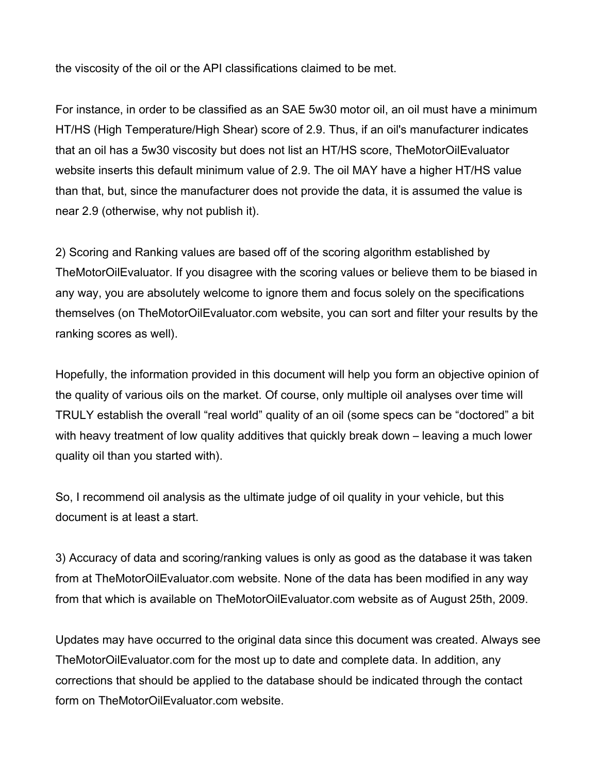the viscosity of the oil or the API classifications claimed to be met.

For instance, in order to be classified as an SAE 5w30 motor oil, an oil must have a minimum HT/HS (High Temperature/High Shear) score of 2.9. Thus, if an oil's manufacturer indicates that an oil has a 5w30 viscosity but does not list an HT/HS score, TheMotorOilEvaluator website inserts this default minimum value of 2.9. The oil MAY have a higher HT/HS value than that, but, since the manufacturer does not provide the data, it is assumed the value is near 2.9 (otherwise, why not publish it).

2) Scoring and Ranking values are based off of the scoring algorithm established by TheMotorOilEvaluator. If you disagree with the scoring values or believe them to be biased in any way, you are absolutely welcome to ignore them and focus solely on the specifications themselves (on TheMotorOilEvaluator.com website, you can sort and filter your results by the ranking scores as well).

Hopefully, the information provided in this document will help you form an objective opinion of the quality of various oils on the market. Of course, only multiple oil analyses over time will TRULY establish the overall "real world" quality of an oil (some specs can be "doctored" a bit with heavy treatment of low quality additives that quickly break down – leaving a much lower quality oil than you started with).

So, I recommend oil analysis as the ultimate judge of oil quality in your vehicle, but this document is at least a start.

3) Accuracy of data and scoring/ranking values is only as good as the database it was taken from at TheMotorOilEvaluator.com website. None of the data has been modified in any way from that which is available on TheMotorOilEvaluator.com website as of August 25th, 2009.

Updates may have occurred to the original data since this document was created. Always see TheMotorOilEvaluator.com for the most up to date and complete data. In addition, any corrections that should be applied to the database should be indicated through the contact form on TheMotorOilEvaluator.com website.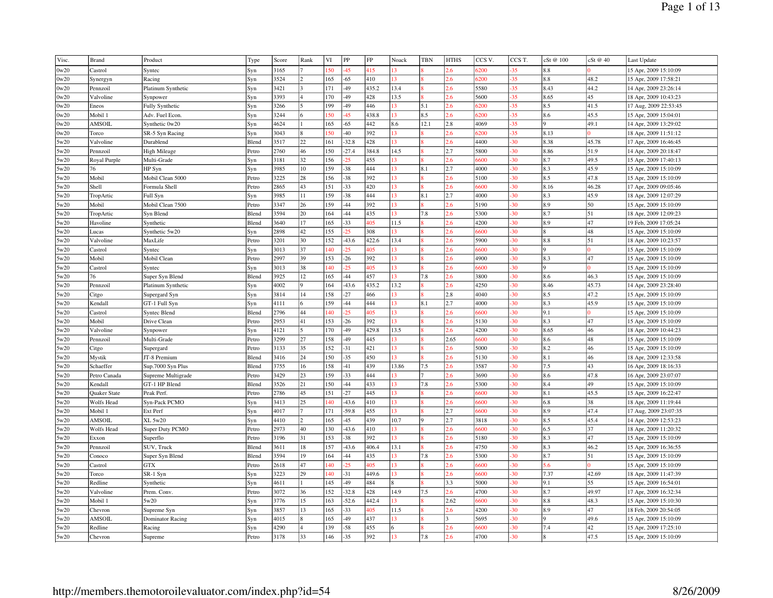| Visc. | <b>Brand</b>      | Product             | Type  | Score        | Rank | VI         | PP           | FP         | Noack        | <b>TBN</b> | <b>HTHS</b> | CCS <sub>V</sub> . | CCS T.         | cSt @ 100 | cSt @ 40   | Last Update           |
|-------|-------------------|---------------------|-------|--------------|------|------------|--------------|------------|--------------|------------|-------------|--------------------|----------------|-----------|------------|-----------------------|
| 0w20  | Castrol           | Syntec              | Syn   | 3165         |      | 50         | 45           | 415        | 13           |            | 2.6         | 5200               | 35             | 8.8       |            | 15 Apr, 2009 15:10:09 |
| 0w20  | Synergyn          | Racing              | Syn   | 3524         |      | 165        | $-65$        | 410        | 13           |            | $2.6\,$     | 5200               | $-35$          | 8.8       | 48.2       | 15 Apr, 2009 17:58:21 |
| 0w20  | Pennzoil          | Platinum Synthetic  | Syn   | 3421         |      | 171        | $-49$        | 435.2      | 13.4         |            | 2.6         | 5580               | $-35$          | 8.43      | 44.2       | 14 Apr, 2009 23:26:14 |
| 0w20  | Valvoline         | Synpower            | Syn   | 3393         |      | 170        | -49          | 428        | 13.5         |            | 2.6         | 5600               | $-35$          | 8.65      | 45         | 18 Apr, 2009 10:43:23 |
| 0w20  | Eneos             | Fully Synthetic     | Syn   | 3266         |      | 199        | $-49$        | 446        | 13           | 5.1        | 2.6         | 5200               | $-35$          | 8.5       | 41.5       | 17 Aug, 2009 22:53:45 |
| 0w20  | Mobil 1           | Adv. Fuel Econ.     | Syn   | 3244         |      | 50         | 45           | 438.8      | 13           | 8.5        | $2.6\,$     | 5200               | $-35$          | 8.6       | 45.5       | 15 Apr, 2009 15:04:01 |
| 0w20  | <b>AMSOIL</b>     | Synthetic 0w20      | Syn   | 4624         |      | 165        | $-65$        | 442        | 8.6          | 12.1       | 2.8         | 4069               | $-35$          |           | 49.1       | 14 Apr, 2009 13:29:02 |
| 0w20  | Torco             | SR-5 Syn Racing     | Syn   | 3043         |      | 50         | $-40$        | 392        | 13           |            | 2.6         | 5200               | $-35$          | 8.13      |            | 18 Apr, 2009 11:51:12 |
| 5w20  | Valvoline         | Durablend           | Blend | 3517         | 22   | 161        | $-32.8$      | 428        | 13           |            | 2.6         | 4400               | $-30$          | 8.38      | 45.78      | 17 Apr, 2009 16:46:45 |
| 5w20  | Pennzoil          | <b>High Mileage</b> | Petro | 2760         | 46   | 150        | $-27.4$      | 384.8      | 14.5         |            | 2.7         | 5800               | 30             | 8.86      | 51.9       | 14 Apr, 2009 20:18:47 |
| 5w20  | Royal Purple      | Multi-Grade         | Syn   | 3181         | 32   | 156        | 25           | 455        | 13           |            | 2.6         | 5600               | $-30$          | 8.7       | 49.5       | 15 Apr, 2009 17:40:13 |
| 5w20  | 76                | HP Syn              | Syn   | 3985         | 10   | 159        | $-38$        | 444        | 13           | 8.1        | 2.7         | 4000               | 30             | 8.3       | 45.9       | 15 Apr, 2009 15:10:09 |
| 5w20  | Mobil             | Mobil Clean 5000    | Petro | 3225         | 28   | 156        | $-38$        | 392        | 13           |            | 2.6         | 5100               | 30             | 8.5       | 47.8       | 15 Apr, 2009 15:10:09 |
| 5w20  | Shell             | Formula Shell       | Petro | 2865         | 43   | 151        | $-33$        | 420        | 13           |            | 2.6         | 5600               | $-30$          | 8.16      | 46.28      | 17 Apr, 2009 09:05:46 |
| 5w20  | TropArtic         | Full Syn            | Syn   | 3985         | 11   | 159        | $-38$        | 444        | 13           | 8.1        | 2.7         | 4000               | $-30$          | 8.3       | 45.9       | 18 Apr, 2009 12:07:29 |
| 5w20  | Mobil             | Mobil Clean 7500    | Petro | 3347         | 26   | 159        | $-44$        | 392        | 13           |            | 2.6         | 5190               | $-30$          | 8.9       | 50         | 15 Apr, 2009 15:10:09 |
| 5w20  | TropArtic         | Syn Blend           | Blend | 3594         | 20   | 164        | $-44$        | 435        | 13           | 7.8        | 2.6         | 5300               | $-30$          | 8.7       | 51         | 18 Apr, 2009 12:09:23 |
| 5w20  | Havoline          | Synthetic           | Blend | 3640         | 17   | 165        | $-33$        | 405        | 11.5         |            | 2.6         | 4200               | $-30$          | 8.9       | 47         | 19 Feb, 2009 17:05:24 |
| 5w20  | Lucas             | Synthetic 5w20      | Syn   | 2898         | 42   | 155        | 25           | 308        | 13           |            | 2.6         | 5600               | $-30$          |           | 48         | 15 Apr, 2009 15:10:09 |
| 5w20  | Valvoline         | MaxLife             | Petro | 3201         | 30   | 152        | $-43.6$      | 422.6      | 13.4         |            | 2.6         | 5900               | $-30$          | 8.8       | 51         | 18 Apr, 2009 10:23:57 |
| 5w20  | Castrol           | Syntec              | Syn   | 3013         | 37   | 40         | 25           | 105        | 13           |            | $2.6\,$     | 600                | 30             |           |            | 15 Apr, 2009 15:10:09 |
| 5w20  | Mobil             | Mobil Clean         | Petro | 2997         | 39   | 153        | $-26$        | 392        | 13           |            | 2.6         | 4900               | $-30$          | 8.3       | 47         | 15 Apr, 2009 15:10:09 |
| 5w20  | Castrol           | Syntec              | Syn   | 3013         | 38   | 140        | 25           | 105        | 13           |            | 2.6         | 5600               | $-30$          |           |            | 15 Apr, 2009 15:10:09 |
| 5w20  | 76                | Super Syn Blend     | Blend | 3925         | 12   | 165        | $-44$        | 457        | 13           | 7.8        | 2.6         | 3800               | 30             | 8.6       | 46.3       | 15 Apr, 2009 15:10:09 |
| 5w20  | Pennzoil          | Platinum Synthetic  | Syn   | 4002         |      | 164        | $-43.6$      | 435.2      | 13.2         |            | 2.6         | 4250               | $-30$          | 8.46      | 45.73      | 14 Apr, 2009 23:28:40 |
| 5w20  | Citgo             | Supergard Syn       | Syn   | 3814         | 14   | 158        | $-27$        | 466        | 13           |            | 2.8         | 4040               | $-30$          | 8.5       | 47.2       | 15 Apr, 2009 15:10:09 |
| 5w20  | Kendall           | GT-1 Full Syn       | Syn   | 4111         | 6    | 159        | $-44$        | 444        | 13           | 8.1        | 2.7         | 4000               | $-30$          | 8.3       | 45.9       | 15 Apr, 2009 15:10:09 |
| 5w20  | Castrol           | <b>Syntec Blend</b> | Blend | 2796         | 44   | 40         | 25           | $105 -$    | 13           |            | 2.6         | 600                | $-30$          | 9.1       |            | 15 Apr, 2009 15:10:09 |
| 5w20  | Mobil             | Drive Clean         | Petro | 2953         | 41   | 153        | $-26$        | 392        | 13           |            | 2.6         | 5130               | 30             | 8.3       | 47         | 15 Apr, 2009 15:10:09 |
| 5w20  | Valvoline         | Synpower            | Syn   | 4121         | 5    | 170        | $-49$        | 429.8      | 13.5         |            | 2.6         | 4200               | $-30$          | 8.65      | 46         | 18 Apr, 2009 10:44:23 |
| 5w20  | Pennzoil          | Multi-Grade         | Petro | 3299         | 27   | 158        | -49          | 445        | 13           |            | 2.65        | 5600               | $-30$          | 8.6       | 48         | 15 Apr, 2009 15:10:09 |
| 5w20  | Citgo             | Supergard           | Petro | 3133         | 35   | 152        | $-31$        | 421        | 13           |            | 2.6         | 5000               | 30             | 8.2       | 46         | 15 Apr, 2009 15:10:09 |
| 5w20  | Mystik            | JT-8 Premium        | Blend | 3416         | 24   | 150        | $-35$        | 450        | 13           |            | $2.6\,$     | 5130               | $-30$          | 8.1       | 46         | 18 Apr, 2009 12:33:58 |
| 5w20  | Schaeffer         | Sup.7000 Syn Plus   | Blend | 3755         | 16   | 158        | $-41$        | 439        | 13.86        | 7.5        | 2.6         | 3587               | $-30$          | 7.5       | 43         | 16 Apr, 2009 18:16:33 |
| 5w20  | Petro Canada      | Supreme Multigrade  | Petro | 3429         | 23   | 159        | $-33$        | 444        | 13           |            | 2.6         | 3690               | $-30$          | 8.6       | 47.8       | 16 Apr, 2009 23:07:07 |
| 5w20  | Kendall           | GT-1 HP Blend       | Blend | 3526         | 21   | 150        | $-44$        | 433        | 13           | 7.8        | 2.6         | 5300               | $-30$          | 8.4       | 49         | 15 Apr, 2009 15:10:09 |
| 5w20  | Quaker State      | Peak Perf.          | Petro | 2786         | 45   | 151        | $-27$        | 445        | 13           |            | $2.6\,$     | 5600               | 30             | 8.1       | 45.5       | 15 Apr, 2009 16:22:47 |
| 5w20  | <b>Wolfs Head</b> | Syn-Pack PCMO       | Syn   | 3413         | 25   | 140        | $-43.6$      | 410        | 13           |            | 2.6         | 5600               | $-30$          | 6.8       | 38         | 18 Apr, 2009 11:19:44 |
| 5w20  | Mobil 1           | Ext Perf            | Syn   | 4017         |      | 171        | $-59.8$      | 455        | 13           |            | 2.7         | 5600               | 30             | 8.9       | 47.4       | 17 Aug, 2009 23:07:35 |
| 5w20  | AMSOIL            | XL 5w20             | Syn   | 4410         |      | 165        | $-45$        | 439        | 10.7         |            | 2.7         | 3818               | 30             | 8.5       | 45.4       | 14 Apr, 2009 12:53:23 |
| 5w20  | <b>Wolfs Head</b> | Super Duty PCMO     | Petro | 2973         | 40   | 130        | $-43.6$      | 410        | 13           |            | 2.6         | 5600               | $-30$          | 6.5       | 37         | 18 Apr, 2009 11:20:32 |
| 5w20  | Exxon             | Superflo            | Petro | 3196         | 31   | 153        | $-38$        | 392        | 13           |            | 2.6         | 5180               | $-30$          | 8.3       | 47         | 15 Apr, 2009 15:10:09 |
| 5w20  | Pennzoil          | SUV, Truck          | Blend | 3611         | 18   | 157        | $-43.6$      | 406.4      | 13.1         |            | 2.6         | 4750               | $-30$          | 8.3       | 46.2       | 15 Apr, 2009 16:36:55 |
| 5w20  | Conoco            | Super Syn Blend     | Blend | 3594         | 19   | 164        | $-44$        | 435        | 13           | 7.8        | 2.6         | 5300               | $-30$          | 8.7       | 51         | 15 Apr, 2009 15:10:09 |
| 5w20  | Castrol           | <b>GTX</b>          | Petro | 2618         | 47   | 140        | 25           | 405        | 13           |            | 2.6         | 600                | $-30$          | 5.6       |            | 15 Apr, 2009 15:10:09 |
| 5w20  | Torco             | SR-1 Syn            | Syn   | 3223         | 29   | 140        | $-31$        | 449.6      | 13           |            | 2.6         | 5600               | $-30$          | 7.37      | 42.69      | 18 Apr, 2009 11:47:39 |
| 5w20  | Redline           | Synthetic           | Syn   | 4611         |      | 145        | -49          | 484        | $\mathbf{Q}$ |            | 3.3         | 5000               | 30             | 9.1       | 55         | 15 Apr, 2009 16:54:01 |
| 5w20  | Valvoline         | Prem. Conv.         | Petro | 3072         | 36   | 152        | $-32.8$      | 428        | 14.9         | 7.5        | 2.6         | 4700               | 30             | 8.7       | 49.97      | 17 Apr, 2009 16:32:34 |
| 5w20  | Mobil 1           | 5w20                | Syn   | 3776         | 15   | 163        | $-52.6$      | 442.4      | 13           |            | 2.62        | 5600               | $-30$          | 8.8       | 48.3       | 15 Apr, 2009 15:10:30 |
| 5w20  | Chevron           | Supreme Syn         | Syn   | 3857         | 13   | 165        | $-33$        | 405        | 11.5         |            | 2.6<br>13   | 4200               | $-30$<br>$-30$ | 8.9       | 47         | 18 Feb, 2009 20:54:05 |
| 5w20  | <b>AMSOIL</b>     | Dominator Racing    | Syn   | 4015<br>4290 |      | 165<br>139 | -49<br>$-58$ | 437<br>455 | 13<br>6      |            | 2.6         | 5695<br>600        | $-30$          | 7.4       | 49.6<br>42 | 15 Apr, 2009 15:10:09 |
| 5w20  | Redline           | Racing              | Syn   |              |      |            |              |            | 13           |            |             |                    |                |           |            | 15 Apr, 2009 17:25:10 |
| 5w20  | Chevron           | Supreme             | Petro | 3178         | 33   | 146        | $-35$        | 392        |              | 7.8        | 2.6         | 4700               | $-30$          |           | 47.5       | 15 Apr, 2009 15:10:09 |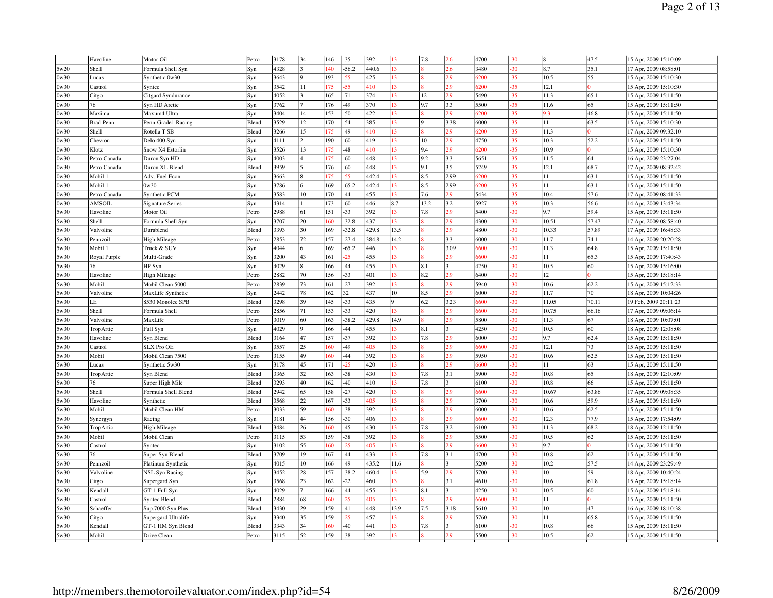|      | Havoline         | Motor Oil               | Petro | 3178 | 34            | 146          | $-35$        | 392   | 13              | 7.8          | 2.6                     | 4700 | $-30$ | $\overline{8}$ | 47.5     | 15 Apr, 2009 15:10:09 |
|------|------------------|-------------------------|-------|------|---------------|--------------|--------------|-------|-----------------|--------------|-------------------------|------|-------|----------------|----------|-----------------------|
| 5w20 | Shell            | Formula Shell Syn       | Syn   | 4328 |               | $ 40\rangle$ | $-56.2$      | 440.6 | 13              |              | 2.6                     | 3480 | $-30$ | 8.7            | 35.1     | 17 Apr, 2009 08:58:01 |
| 0w30 | Lucas            | Synthetic 0w30          | Syn   | 3643 |               | 193          | $-55$        | 425   | 13              |              | 2.9                     | 6200 | $-35$ | 10.5           | 55       | 15 Apr, 2009 15:10:30 |
| 0w30 | Castrol          | Syntec                  | Syn   | 3542 | 11            | 175          | $-55$        | 410   | 13              |              | 2.9                     | 6200 | $-35$ | 12.1           |          | 15 Apr, 2009 15:10:30 |
| 0w30 | Citgo            | Citgard Syndurance      | Syn   | 4052 |               | 165          | $-71$        | 374   | 13              | 12           | 2.9                     | 5490 | $-35$ | 11.3           | 65.1     | 15 Apr, 2009 15:11:50 |
| 0w30 | 76               | Syn HD Arctic           | Syn   | 3762 |               | 176          | $-49$        | 370   | 13              | 9.7          | 3.3                     | 5500 | $-35$ | 11.6           | 65       | 15 Apr, 2009 15:11:50 |
| 0w30 | Maxima           | Maxum4 Ultra            | Syn   | 3404 | 14            | 153          | $-50$        | 422   | 13              |              | 2.9                     | 6200 | $-35$ | 9.3            | 46.8     | 15 Apr, 2009 15:11:50 |
| 0w30 | <b>Brad Penn</b> | Penn-Grade1 Racing      | Blend | 3529 | 12            | 170          | $-54$        | 385   | 13              | <sup>Q</sup> | 3.38                    | 6000 | $-35$ | 11             | 63.5     | 15 Apr, 2009 15:10:30 |
| 0w30 | Shell            | Rotella T SB            | Blend | 3266 | 15            | 175          | $-49$        | 410   | 13              |              | 2.9                     | 6200 | $-35$ | 11.3           |          | 17 Apr, 2009 09:32:10 |
| 0w30 | Chevron          | Delo 400 Syn            | Syn   | 4111 | $\mathcal{L}$ | 190          | $-60$        | 419   | 13              | 10           | 2.9                     | 4750 | $-35$ | 10.3           | 52.2     | 15 Apr, 2009 15:11:50 |
| 0w30 | Klotz            | Snow X4 Estorlin        | Syn   | 3526 | 13            | 175          | $-48$        | 410   | 13              | 9.4          | 2.9                     | 6200 | $-35$ | 10.9           |          | 15 Apr, 2009 15:10:30 |
| 0w30 | Petro Canada     | Duron Syn HD            | Syn   | 4003 |               | 175          | $-60$        | 448   | 13              | 9.2          | 3.3                     | 5651 | $-35$ | 11.5           | 64       | 16 Apr, 2009 23:27:04 |
| 0w30 | Petro Canada     | Duron XL Blend          | Blend | 3959 |               | 176          | $-60$        | 448   | 13              | 9.1          | 3.5                     | 5249 | $-35$ | 12.1           | 68.7     | 17 Apr, 2009 08:32:42 |
| 0w30 | Mobil 1          | Adv. Fuel Econ.         | Syn   | 3663 |               | 175          | $55^{\circ}$ | 442.4 | 13              | 8.5          | 2.99                    | 6200 | $-35$ | 11             | 63.1     | 15 Apr, 2009 15:11:50 |
| 0w30 | Mobil 1          | 0w30                    | Syn   | 3786 |               | 169          | $-65.2$      | 442.4 | 13              | 8.5          | 2.99                    | 6200 | $-35$ | 11             | 63.1     | 15 Apr, 2009 15:11:50 |
| 0w30 | Petro Canada     | Synthetic PCM           | Syn   | 3583 | 10            | 170          | $-44$        | 455   | 13              | 7.6          | 2.9                     | 5434 | $-35$ | 10.4           | 57.6     | 17 Apr, 2009 08:41:33 |
| 0w30 | AMSOIL           | <b>Signature Series</b> | Syn   | 4314 |               | 173          | $-60$        | 446   | 8.7             | 13.2         | 3.2                     | 5927 | $-35$ | 10.3           | 56.6     | 14 Apr, 2009 13:43:34 |
| 5w30 | Havoline         | Motor Oil               | Petro | 2988 | 61            | 151          | $-33$        | 392   | 13              | 7.8          | 2.9                     | 5400 | $-30$ | 9.7            | 59.4     | 15 Apr, 2009 15:11:50 |
| 5w30 | Shell            | Formula Shell Syn       | Syn   | 3707 | 20            | 160          | $-32.8$      | 437   | 13              |              | 2.9                     | 4300 | $-30$ | 10.51          | 57.47    | 17 Apr, 2009 08:58:40 |
| 5w30 | Valvoline        | Durablend               | Blend | 3393 | 30            | 169          | $-32.8$      | 429.8 | 13.5            |              | 2.9                     | 4800 | $-30$ | 10.33          | 57.89    | 17 Apr, 2009 16:48:33 |
| 5w30 | Pennzoil         | <b>High Mileage</b>     | Petro | 2853 | 72            | 157          | $-27.4$      | 384.8 | 14.2            |              | 3.3                     | 6000 | $-30$ | 11.7           | 74.1     | 14 Apr, 2009 20:20:28 |
| 5w30 | Mobil 1          | Truck & SUV             | Syn   | 4044 |               | 169          | $-65.2$      | 446   | 13              |              | 3.09                    | 6600 | $-30$ | 11.3           | 64.8     | 15 Apr, 2009 15:11:50 |
| 5w30 | Royal Purple     | Multi-Grade             | Syn   | 3200 | 43            | 161          | $-25$        | 455   | 13              |              | 2.9                     | 6600 | $-30$ | 11             | 65.3     | 15 Apr, 2009 17:40:43 |
| 5w30 | 76               | HP Syn                  | Syn   | 4029 |               | 166          | $-44$        | 455   | 13              | 8.1          |                         | 4250 | $-30$ | 10.5           | 60       | 15 Apr, 2009 15:16:00 |
| 5w30 | Havoline         | <b>High Mileage</b>     | Petro | 2882 | 70            | 156          | $-33$        | 401   | 13              | 8.2          | 2.9                     | 6400 | $-30$ | 12             |          | 15 Apr, 2009 15:18:14 |
| 5w30 | Mobil            | Mobil Clean 5000        | Petro | 2839 | 73            | 161          | $-27$        | 392   | 13              |              | 2.9                     | 5940 | $-30$ | 10.6           | 62.2     | 15 Apr, 2009 15:12:33 |
| 5w30 | Valvoline        | MaxLife Synthetic       | Syn   | 2442 | 78            | 162          | 32           | 437   | 10              | 8.5          | 2.9                     | 6000 | $-30$ | 11.7           | 70       | 18 Apr, 2009 10:04:26 |
| 5w30 | LE               | 8530 Monolec SPB        | Blend | 3298 | 39            | 145          | $-33$        | 435   |                 | 6.2          | 3.23                    | 5600 | $-30$ | 11.05          | 70.11    | 19 Feb, 2009 20:11:23 |
| 5w30 | Shell            | Formula Shell           | Petro | 2856 | 71            | 153          | $-33$        | 420   | 13              |              | 2.9                     | 6600 | $-30$ | 10.75          | 66.16    | 17 Apr, 2009 09:06:14 |
| 5w30 | Valvoline        | MaxLife                 | Petro | 3019 | 60            | 163          | $-38.2$      | 429.8 | 14.9            |              | 2.9                     | 5800 | $-30$ | 11.3           | 67       | 18 Apr, 2009 10:07:01 |
| 5w30 | TropArtic        | Full Syn                | Syn   | 4029 |               | 166          | $-44$        | 455   | 13              | 8.1          | $\overline{\mathbf{3}}$ | 4250 | $-30$ | 10.5           | 60       | 18 Apr, 2009 12:08:08 |
| 5w30 | Havoline         | Syn Blend               | Blend | 3164 | 47            | 157          | $-37$        | 392   | 13 <sup>°</sup> | 7.8          | 2.9                     | 6000 | $-30$ | 9.7            | 62.4     | 15 Apr, 2009 15:11:50 |
| 5w30 | Castrol          | SLX Pro OE              | Syn   | 3557 | 25            | 160          | $-49$        | 405   | 13              |              | 2.9                     | 6600 | $-30$ | 12.1           | 73       | 15 Apr, 2009 15:11:50 |
| 5w30 | Mobil            | Mobil Clean 7500        | Petro | 3155 | 49            | 160          | $-44$        | 392   | 13              |              | 2.9                     | 5950 | $-30$ | 10.6           | 62.5     | 15 Apr, 2009 15:11:50 |
| 5w30 | Lucas            | Synthetic 5w30          | Syn   | 3178 | 45            | 171          | $-25$        | 420   | 13              |              | 2.9                     | 6600 | $-30$ | 11             | 63       | 15 Apr, 2009 15:11:50 |
| 5w30 | TropArtic        | Svn Blend               | Blend | 3365 | 32            | 163          | $-38$        | 430   | 13              | 7.8          | 3.1                     | 5900 | $-30$ | 10.8           | 65       | 18 Apr, 2009 12:10:09 |
| 5w30 | 76               | Super High Mile         | Blend | 3293 | 40            | 162          | $-40$        | 410   | 13              | 7.8          | $\overline{\mathbf{3}}$ | 6100 | $-30$ | 10.8           | 66       | 15 Apr, 2009 15:11:50 |
| 5w30 | Shell            | Formula Shell Blend     | Blend | 2942 | 65            | 158          | $-27$        | 420   | 13              |              | 2.9                     | 6600 | $-30$ | 10.67          | 63.86    | 17 Apr, 2009 09:08:35 |
| 5w30 | Havoline         | Synthetic               | Blend | 3568 | $22^{1}$      | 167          | $-33$        | 405   | 13              |              | 2.9                     | 3700 | $-30$ | 10.6           | 59.9     | 15 Apr, 2009 15:11:50 |
| 5w30 | Mobil            | Mobil Clean HM          | Petro | 3033 | 59            | 60           | $-38$        | 392   | 13              |              | 2.9                     | 6000 | $-30$ | 10.6           | 62.5     | 15 Apr, 2009 15:11:50 |
| 5w30 | Synergyn         | Racing                  | Syn   | 3181 | 44            | 156          | $-30$        | 406   | 13              |              | 2.9                     | 6600 | $-30$ | 12.3           | 77.9     | 15 Apr, 2009 17:54:09 |
| 5w30 | TropArtic        | <b>High Mileage</b>     | Blend | 3484 | 26            | 160          | $-45$        | 430   | 13              | 7.8          | 3.2                     | 6100 | $-30$ | 11.3           | 68.2     | 18 Apr, 2009 12:11:50 |
| 5w30 | Mobil            | Mobil Clean             | Petro | 3115 | 53            | 159          | $-38$        | 392   | 13              |              | 2.9                     | 5500 | $-30$ | 10.5           | 62       | 15 Apr, 2009 15:11:50 |
| 5w30 | Castrol          | Syntec                  | Syn   | 3102 | 55            | 160          | 25           | 405   | 13 <sup>°</sup> |              | 2.9                     | 5600 | $-30$ | 9.7            |          | 15 Apr, 2009 15:11:50 |
| 5w30 | 76               | Super Syn Blend         | Blend | 3709 | 19            | 167          | $-44$        | 433   | 13              | 7.8          | 3.1                     | 4700 | $-30$ | 10.8           | 62       | 15 Apr, 2009 15:11:50 |
| 5w30 | Pennzoil         | Platinum Synthetic      | Syn   | 4015 | 10            | 166          | $-49$        | 435.2 | 11.6            |              | 3                       | 5200 | $-30$ | 10.2           | 57.5     | 14 Apr, 2009 23:29:49 |
| 5w30 | Valvoline        | <b>NSL Syn Racing</b>   | Syn   | 3452 | 28            | 157          | $-38.2$      | 460.4 | 13              | 5.9          | 2.9                     | 5700 | $-30$ | 10             | 59       | 18 Apr, 2009 10:40:24 |
| 5w30 | Citgo            | Supergard Syn           | Syn   | 3568 | 23            | 162          | 22           | 460   | 13              |              | 3.1                     | 4610 | $-30$ | 10.6           | 61.8     | 15 Apr, 2009 15:18:14 |
| 5w30 | Kendall          | GT-1 Full Syn           | Syn   | 4029 |               | 166          | $-44$        | 455   | 13              | 8.1          | $\overline{\mathbf{3}}$ | 4250 | $-30$ | 10.5           | 60       | 15 Apr, 2009 15:18:14 |
| 5w30 | Castrol          | Syntec Blend            | Blend | 2884 | 68            | 160          | $-25$        | 405   | 13              |              | 2.9                     | 6600 | $-30$ | 11             | $\Omega$ | 15 Apr, 2009 15:11:50 |
| 5w30 | Schaeffer        | Sup.7000 Syn Plus       | Blend | 3430 | 29            | 159          | $-41$        | 448   | 13.9            | 7.5          | 3.18                    | 5610 | $-30$ | 10             | 47       | 16 Apr, 2009 18:10:38 |
| 5w30 | Citgo            | Supergard Ultralife     | Syn   | 3340 | 35            | 159          | 25           | 457   | 13              |              | 2.9                     | 5760 | $-30$ | 11             | 65.8     | 15 Apr, 2009 15:11:50 |
| 5w30 | Kendall          | GT-1 HM Syn Blend       | Blend | 3343 | 34            | 160          | $-40$        | 441   | 13              | 7.8          | $\overline{\mathbf{a}}$ | 6100 | $-30$ | 10.8           | 66       | 15 Apr, 2009 15:11:50 |
| 5w30 | Mobil            | Drive Clean             | Petro | 3115 | 52            | 159          | $-38$        | 392   | 13              |              | 2.9                     | 5500 | $-30$ | 10.5           | 62       | 15 Apr, 2009 15:11:50 |
|      |                  |                         |       |      |               |              |              |       |                 |              |                         |      |       |                |          |                       |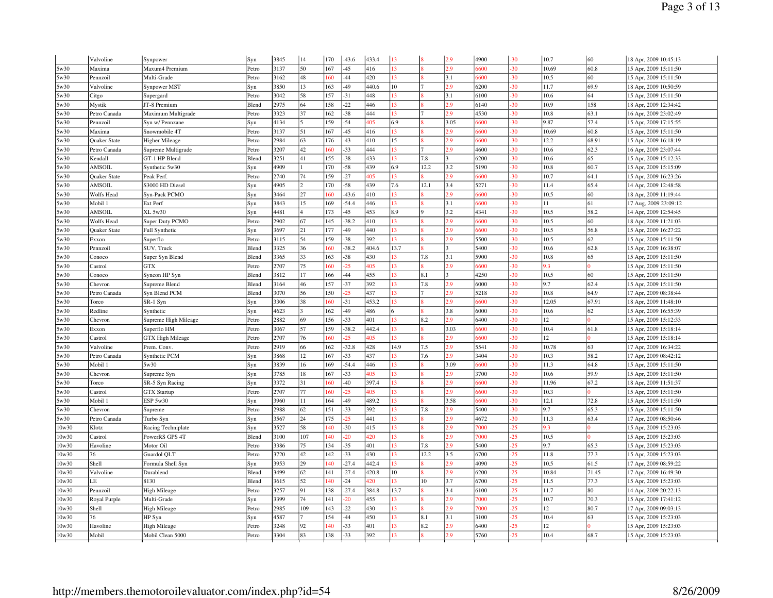|       | Valvoline         | Synpower                | Syn   | 3845 | 14             | 170 | $-43.6$ | 433.4 | 13   |      | 2.9                     | 4900 | $-30$ | 10.7  | 60       | 18 Apr, 2009 10:45:13 |
|-------|-------------------|-------------------------|-------|------|----------------|-----|---------|-------|------|------|-------------------------|------|-------|-------|----------|-----------------------|
| 5w30  | Maxima            | Maxum4 Premium          | Petro | 3137 | 50             | 167 | $-45$   | 416   | 13   |      | 2.9                     | 6600 | $-30$ | 10.69 | 60.8     | 15 Apr, 2009 15:11:50 |
| 5w30  | Pennzoil          | Multi-Grade             | Petro | 3162 | 48             | 160 | $-44$   | 420   | 13   |      | 3.1                     | 6600 | $-30$ | 10.5  | 60       | 15 Apr, 2009 15:11:50 |
| 5w30  | Valvoline         | Synpower MST            | Syn   | 3850 | 13             | 163 | $-49$   | 440.6 | 10   |      | 2.9                     | 6200 | $-30$ | 11.7  | 69.9     | 18 Apr, 2009 10:50:59 |
| 5w30  | Citgo             | Supergard               | Petro | 3042 | 58             | 157 | $-31$   | 448   | 13   |      | 3.1                     | 6100 | $-30$ | 10.6  | 64       | 15 Apr, 2009 15:11:50 |
| 5w30  | Mystik            | JT-8 Premium            | Blend | 2975 | 64             | 158 | $-22$   | 446   | 13   |      | 2.9                     | 6140 | $-30$ | 10.9  | 158      | 18 Apr, 2009 12:34:42 |
| 5w30  | Petro Canada      | Maximum Multigrade      | Petro | 3323 | 37             | 162 | $-38$   | 444   | 13   |      | 2.9                     | 4530 | $-30$ | 10.8  | 63.1     | 16 Apr, 2009 23:02:49 |
| 5w30  | Pennzoil          | Syn w/ Pennzane         | Syn   | 4134 |                | 159 | $-54$   | 405   | 6.9  |      | 3.05                    | 6600 | $-30$ | 9.87  | 57.4     | 15 Apr, 2009 17:15:55 |
| 5w30  | Maxima            | Snowmobile 4T           | Petro | 3137 | 51             | 167 | $-45$   | 416   | 13   |      | 2.9                     | 5600 | $-30$ | 10.69 | 60.8     | 15 Apr, 2009 15:11:50 |
| 5w30  | Quaker State      | <b>Higher Mileage</b>   | Petro | 2984 | 63             | 176 | $-43$   | 410   | 15   |      | 2.9                     | 6600 | $-30$ | 12.2  | 68.91    | 15 Apr, 2009 16:18:19 |
| 5w30  | Petro Canada      | Supreme Multigrade      | Petro | 3207 | 42             | 60  | $-33$   | 444   | 13   |      | 2.9                     | 4600 | $-30$ | 10.6  | 62.3     | 16 Apr, 2009 23:07:44 |
| 5w30  | Kendall           | GT-1 HP Blend           | Blend | 3251 | 41             | 155 | $-38$   | 433   | 13   | 7.8  |                         | 6200 | $-30$ | 10.6  | 65       | 15 Apr, 2009 15:12:33 |
| 5w30  | AMSOIL            | Synthetic 5w30          | Syn   | 4909 |                | 170 | $-58$   | 439   | 6.9  | 12.2 | 3.2                     | 5190 | $-30$ | 10.8  | 60.7     | 15 Apr, 2009 15:15:09 |
| 5w30  | Quaker State      | Peak Perf.              | Petro | 2740 | 74             | 159 | $-27$   | 405   | 13   |      | 2.9                     | 6600 | $-30$ | 10.7  | 64.1     | 15 Apr, 2009 16:23:26 |
| 5w30  | AMSOIL            | S3000 HD Diesel         | Syn   | 4905 | $\mathcal{D}$  | 170 | $-58$   | 439   | 7.6  | 12.1 | 3.4                     | 5271 | $-30$ | 11.4  | 65.4     | 14 Apr, 2009 12:48:58 |
| 5w30  | Wolfs Head        | Syn-Pack PCMO           | Syn   | 3464 | 27             | 60  | $-43.6$ | 410   | 13   |      | 2.9                     | 6600 | $-30$ | 10.5  | 60       | 18 Apr, 2009 11:19:44 |
| 5w30  | Mobil 1           | Ext Perf                | Syn   | 3843 | 15             | 169 | .54.4   | 446   | 13   |      | 3.1                     | 6600 | $-30$ | 11    | 61       | 17 Aug, 2009 23:09:12 |
| 5w30  | AMSOIL            | XL 5w30                 | Syn   | 4481 | $\overline{4}$ | 173 | $-45$   | 453   | 8.9  | Q    | 3.2                     | 4341 | $-30$ | 10.5  | 58.2     | 14 Apr, 2009 12:54:45 |
| 5w30  | <b>Wolfs Head</b> | Super Duty PCMO         | Petro | 2902 | 67             | 145 | $-38.2$ | 410   | 13   |      | 2.9                     | 6600 | $-30$ | 10.5  | 60       | 18 Apr, 2009 11:21:03 |
| 5w30  | Quaker State      | Full Synthetic          | Syn   | 3697 | 21             | 177 | 49      | 440   | 13   |      | 2.9                     | 6600 | $-30$ | 10.5  | 56.8     | 15 Apr, 2009 16:27:22 |
| 5w30  | Exxon             | Superflo                | Petro | 3115 | 54             | 159 | $-38$   | 392   | 13   |      | 2.9                     | 5500 | $-30$ | 10.5  | 62       | 15 Apr, 2009 15:11:50 |
| 5w30  | Pennzoil          | SUV, Truck              | Blend | 3325 | 36             | 160 | $-38.2$ | 404.6 | 13.7 |      | $\mathbf{a}$            | 5400 | $-30$ | 10.6  | 62.8     | 15 Apr, 2009 16:38:07 |
| 5w30  | Conoco            | Super Syn Blend         | Blend | 3365 | 33             | 163 | $-38$   | 430   | 13   | 7.8  | 3.1                     | 5900 | $-30$ | 10.8  | 65       | 15 Apr, 2009 15:11:50 |
| 5w30  | Castrol           | <b>GTX</b>              | Petro | 2707 | 75             | 60  | 25      | 405   | 13   |      | 2.9                     | 6600 | $-30$ | 9.3   |          | 15 Apr, 2009 15:11:50 |
| 5w30  | Conoco            | Syncon HP Syn           | Blend | 3812 | 17             | 166 | $-44$   | 455   | 13   | 8.1  | $\overline{\mathbf{3}}$ | 4250 | $-30$ | 10.5  | 60       | 15 Apr, 2009 15:11:50 |
| 5w30  | Chevron           | Supreme Blend           | Blend | 3164 | 46             | 157 | $-37$   | 392   | 13   | 7.8  | 2.9                     | 6000 | $-30$ | 9.7   | 62.4     | 15 Apr, 2009 15:11:50 |
| 5w30  | Petro Canada      | Syn Blend PCM           | Blend | 3070 | 56             | 150 | 25      | 437   | 13   |      | 2.9                     | 5218 | $-30$ | 10.8  | 64.9     | 17 Apr, 2009 08:38:44 |
| 5w30  | Torco             | SR-1 Syn                | Syn   | 3306 | 38             | 60  | 31      | 453.2 | 13   |      | 2.9                     | 5600 | $-30$ | 12.05 | 67.91    | 18 Apr, 2009 11:48:10 |
| 5w30  | Redline           | Synthetic               | Syn   | 4623 | 2              | 162 | -49     | 486   | 6    |      | 3.8                     | 6000 | $-30$ | 10.6  | 62       | 15 Apr, 2009 16:55:39 |
| 5w30  | Chevron           | Supreme High Mileage    | Petro | 2882 | 69             | 156 | $-33$   | 401   | 13   | 8.2  | 2.9                     | 6400 | $-30$ | 12    | $\Omega$ | 15 Apr, 2009 15:12:33 |
| 5w30  | Exxon             | Superflo HM             | Petro | 3067 | 57             | 159 | 38.2    | 442.4 | 13   |      | 3.03                    | 6600 | $-30$ | 10.4  | 61.8     | 15 Apr, 2009 15:18:14 |
| 5w30  | Castrol           | <b>GTX High Mileage</b> | Petro | 2707 | 76             | 60  | 25      | 405   | 13   |      | 2.9                     | 6600 | $-30$ | 12    |          | 15 Apr, 2009 15:18:14 |
| 5w30  | Valvoline         | Prem. Conv.             | Petro | 2919 | 66             | 162 | 32.8    | 428   | 14.9 | 7.5  | 2.9                     | 5541 | $-30$ | 10.78 | 63       | 17 Apr, 2009 16:34:22 |
| 5w30  | Petro Canada      | Synthetic PCM           | Syn   | 3868 | 12             | 167 | 33      | 437   | 13   | 7.6  | 2.9                     | 3404 | $-30$ | 10.3  | 58.2     | 17 Apr, 2009 08:42:12 |
| 5w30  | Mobil 1           | 5w30                    | Syn   | 3839 | 16             | 169 | .54.4   | 446   | 13   |      | 3.09                    | 6600 | $-30$ | 11.3  | 64.8     | 15 Apr, 2009 15:11:50 |
| 5w30  | Chevron           | Supreme Syn             | Syn   | 3785 | 18             | 167 | 33      | 105   | 13   |      | 2.9                     | 3700 | $-30$ | 10.6  | 59.9     | 15 Apr, 2009 15:11:50 |
| 5w30  | Torco             | SR-5 Syn Racing         | Syn   | 3372 | 31             | 160 | $-40$   | 397.4 | 13   |      | 2.9                     | 6600 | $-30$ | 11.96 | 67.2     | 18 Apr, 2009 11:51:37 |
| 5w30  | Castrol           | <b>GTX Startup</b>      | Petro | 2707 | 77             | 60  | 25      | 405   | 13   |      | 2.9                     | 6600 | $-30$ | 10.3  | $\Omega$ | 15 Apr, 2009 15:11:50 |
| 5w30  | Mobil 1           | ESP 5w30                | Syn   | 3960 | 11             | 164 | -49     | 489.2 | 13   |      | 3.58                    | 6600 | $-30$ | 12.1  | 72.8     | 15 Apr, 2009 15:11:50 |
| 5w30  | Chevron           | Supreme                 | Petro | 2988 | 62             | 151 | $-33$   | 392   | 13   | 7.8  | 2.9                     | 5400 | $-30$ | 9.7   | 65.3     | 15 Apr, 2009 15:11:50 |
| 5w30  | Petro Canada      | Turbo Syn               | Syn   | 3567 | 24             | 175 | 25      | 441   | 13   |      | 2.9                     | 4672 | $-30$ | 11.3  | 63.4     | 17 Apr, 2009 08:50:46 |
| 10w30 | Klotz             | Racing Techniplate      | Syn   | 3527 | 58             | 140 | $-30$   | 415   | 13   |      | 2.9                     | 7000 | $-25$ | 9.3   | 10       | 15 Apr, 2009 15:23:03 |
| 10w30 | Castrol           | PowerRS GPS 4T          | Blend | 3100 | 107            | 40  | 20      | 420   | 13   |      | 2.9                     | 7000 | $-25$ | 10.5  |          | 15 Apr, 2009 15:23:03 |
| 10w30 | Havoline          | Motor Oil               | Petro | 3386 | 75             | 134 | $-35$   | 401   | 13   | 7.8  | 2.9                     | 5400 | $-25$ | 9.7   | 65.3     | 15 Apr, 2009 15:23:03 |
| 10w30 | 76                | Guardol QLT             | Petro | 3720 | 42             | 142 | $-33$   | 430   | 13   | 12.2 | 3.5                     | 6700 | $-25$ | 11.8  | 77.3     | 15 Apr, 2009 15:23:03 |
| 10w30 | Shell             | Formula Shell Syn       | Syn   | 3953 | 29             | 40  | $-27.4$ | 442.4 | 13   |      | 2.9                     | 4090 | $-25$ | 10.5  | 61.5     | 17 Apr, 2009 08:59:22 |
| 10w30 | Valvoline         | Durablend               | Blend | 3499 | 62             | 141 | $-27.4$ | 420.8 | 10   |      | 2.9                     | 6200 | $-25$ | 10.84 | 71.45    | 17 Apr, 2009 16:49:30 |
| 10w30 | LE                | 8130                    | Blend | 3615 | 52             | 140 | $-24$   | 420   | 13   | 10   | 3.7                     | 6700 | $-25$ | 11.5  | 77.3     | 15 Apr, 2009 15:23:03 |
| 10w30 | Pennzoil          | <b>High Mileage</b>     | Petro | 3257 | 91             | 138 | $-27.4$ | 384.8 | 13.7 |      | 3.4                     | 6100 | $-25$ | 11.7  | 80       | 14 Apr, 2009 20:22:13 |
| 10w30 | Royal Purple      | Multi-Grade             | Syn   | 3399 | 74             | 141 | 20      | 455   | 13   |      | 2.9                     | 7000 | $-25$ | 10.7  | 70.3     | 15 Apr, 2009 17:41:12 |
| 10w30 | Shell             | <b>High Mileage</b>     | Petro | 2985 | 109            | 143 | $-22$   | 430   | 13   |      | 2.9                     | 7000 | $-25$ | 12    | 80.7     | 17 Apr, 2009 09:03:13 |
| 10w30 | 76                | HP Syn                  | Syn   | 4587 |                | 154 | $-44$   | 450   | 13   | 8.1  | 3.1                     | 3100 | $-25$ | 10.4  | 63       | 15 Apr, 2009 15:23:03 |
| 10w30 | Havoline          | <b>High Mileage</b>     | Petro | 3248 | 92             | 40  | 33      | 401   | 13   | 8.2  | 2.9                     | 6400 | $-25$ | 12    | 10       | 15 Apr, 2009 15:23:03 |
| 10w30 | Mobil             | Mobil Clean 5000        | Petro | 3304 | 83             | 138 | $-33$   | 392   | 13   |      | 2.9                     | 5760 | $-25$ | 10.4  | 68.7     | 15 Apr, 2009 15:23:03 |
|       |                   |                         |       |      |                |     |         |       |      |      |                         |      |       |       |          |                       |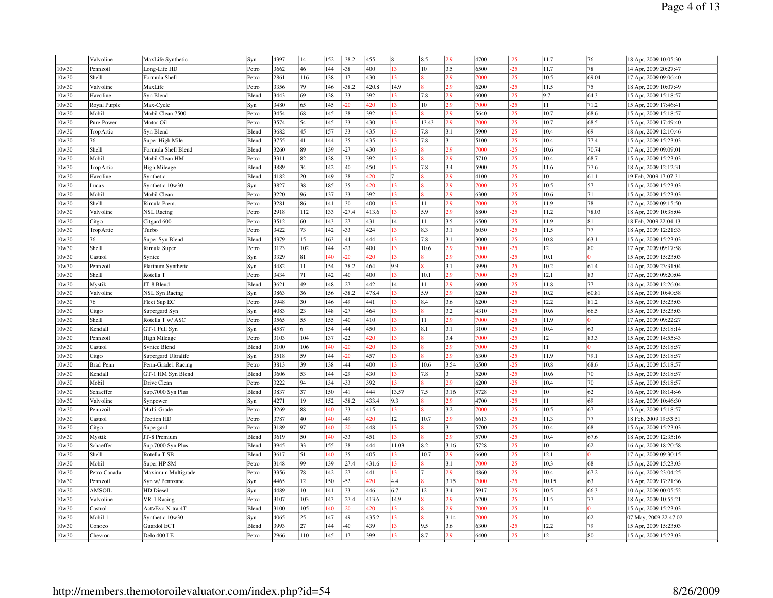|       | Valvoline        | MaxLife Synthetic     | Syn   | 4397 | 14  | 152 | $-38.2$ | 455   | l8.            | 8.5             | 2.9          | 4700 | $-25$ | 11.7  | 76       | 18 Apr, 2009 10:05:30 |
|-------|------------------|-----------------------|-------|------|-----|-----|---------|-------|----------------|-----------------|--------------|------|-------|-------|----------|-----------------------|
| 10w30 | Pennzoil         | Long-Life HD          | Petro | 3662 | 46  | 144 | $-38$   | 400   | 13             | 10              | 3.5          | 6500 | $-25$ | 11.7  | 78       | 14 Apr, 2009 20:27:47 |
| 10w30 | Shell            | Formula Shell         | Petro | 2861 | 116 | 138 | $-17$   | 430   | 13             |                 | 2.9          | 7000 | $-25$ | 10.5  | 69.04    | 17 Apr, 2009 09:06:40 |
| 10w30 | Valvoline        | MaxLife               | Petro | 3356 | 79  | 146 | $-38.2$ | 420.8 | 14.9           |                 | 2.9          | 6200 | $-25$ | 11.5  | 75       | 18 Apr, 2009 10:07:49 |
| 10w30 | Havoline         | Syn Blend             | Blend | 3443 | 69  | 138 | $-33$   | 392   | 13             | 7.8             | 2.9          | 6000 | $-25$ | 9.7   | 64.3     | 15 Apr, 2009 15:18:57 |
| 10w30 | Royal Purple     | Max-Cycle             | Syn   | 3480 | 65  | 145 | 20      | 420   | 13             | 10              | 2.9          | 7000 | $-25$ | 11    | 71.2     | 15 Apr, 2009 17:46:41 |
| 10w30 | Mobil            | Mobil Clean 7500      | Petro | 3454 | 68  | 145 | $-38$   | 392   | 13             |                 | 2.9          | 5640 | $-25$ | 10.7  | 68.6     | 15 Apr, 2009 15:18:57 |
| 10w30 | Pure Power       | Motor Oil             | Petro | 3574 | 54  | 145 | $-33$   | 430   | 13             | 13.43           | 2.9          | 7000 | $-25$ | 10.7  | 68.5     | 15 Apr, 2009 17:49:40 |
| 10w30 | TropArtic        | Syn Blend             | Blend | 3682 | 45  | 157 | $-33$   | 435   | 13             | 7.8             | 3.1          | 5900 | $-25$ | 10.4  | 69       | 18 Apr, 2009 12:10:46 |
| 10w30 | 76               | Super High Mile       | Blend | 3755 | 41  | 144 | $-35$   | 435   | 13             | 7.8             | $\mathbf{3}$ | 5100 | $-25$ | 10.4  | 77.4     | 15 Apr, 2009 15:23:03 |
| 10w30 | Shell            | Formula Shell Blend   | Blend | 3260 | 89  | 139 | $-27$   | 430   | 13             |                 | 2.9          | 7000 | $-25$ | 10.6  | 70.74    | 17 Apr, 2009 09:09:01 |
| 10w30 | Mobil            | Mobil Clean HM        | Petro | 3311 | 82  | 138 | $-33$   | 392   | 13             |                 | 2.9          | 5710 | $-25$ | 10.4  | 68.7     | 15 Apr, 2009 15:23:03 |
| 10w30 | TropArtic        | High Mileage          | Blend | 3889 | 34  | 142 | $-40$   | 450   | 13             | 7.8             | 3.4          | 5900 | $-25$ | 11.6  | 77.6     | 18 Apr, 2009 12:12:31 |
| 10w30 | Havoline         | Synthetic             | Blend | 4182 | 20  | 149 | $-38$   | 420   | $\overline{7}$ |                 | 2.9          | 4100 | $-25$ | 10    | 61.1     | 19 Feb, 2009 17:07:31 |
| 10w30 | Lucas            | Synthetic 10w30       | Syn   | 3827 | 38  | 185 | $-35$   | 420   | 13             |                 | 2.9          | 7000 | $-25$ | 10.5  | 57       | 15 Apr, 2009 15:23:03 |
| 10w30 | Mobil            | Mobil Clean           | Petro | 3220 | 96  | 137 | $-33$   | 392   | 13             |                 | 2.9          | 6300 | $-25$ | 10.6  | 71       | 15 Apr, 2009 15:23:03 |
| 10w30 | Shell            | Rimula Prem           | Petro | 3281 | 86  | 141 | $-30$   | 400   | 13             | $\overline{11}$ | 2.9          | 7000 | $-25$ | 11.9  | 78       | 17 Apr, 2009 09:15:50 |
| 10w30 | Valvoline        | <b>NSL Racing</b>     | Petro | 2918 | 112 | 133 | $-27.4$ | 413.6 | 13             | 5.9             | 2.9          | 6800 | $-25$ | 11.2  | 78.03    | 18 Apr, 2009 10:38:04 |
| 10w30 | Citgo            | Citgard 600           | Petro | 3512 | 60  | 143 | $-27$   | 431   | 14             | 11              | 3.5          | 6500 | $-25$ | 11.9  | 81       | 18 Feb, 2009 22:04:13 |
| 10w30 | TropArtic        | Turbo                 | Petro | 3422 | 73  | 142 | $-33$   | 424   | 13             | 8.3             | 3.1          | 6050 | $-25$ | 11.5  | 177      | 18 Apr, 2009 12:21:33 |
| 10w30 | 76               | Super Syn Blend       | Blend | 4379 | 15  | 163 | $-44$   | 444   | 13             | 7.8             | 3.1          | 3000 | $-25$ | 10.8  | 63.1     | 15 Apr, 2009 15:23:03 |
| 10w30 | Shell            | Rimula Super          | Petro | 3123 | 102 | 144 | $-23$   | 400   | 13             | 10.6            | 2.9          | 7000 | $-25$ | 12    | 80       | 17 Apr, 2009 09:17:58 |
| 10w30 | Castrol          | Syntec                | Syn   | 3329 | 81  | 140 | 20      | 420   | 13             |                 | 2.9          | 7000 | $-25$ | 10.1  | 10       | 15 Apr, 2009 15:23:03 |
| 10w30 | Pennzoil         | Platinum Synthetic    | Syn   | 4482 | 11  | 154 | 38.2    | 464   | 9.9            |                 | 3.1          | 3990 | $-25$ | 10.2  | 61.4     | 14 Apr, 2009 23:31:04 |
| 10w30 | Shell            | Rotella T             | Petro | 3434 | 71  | 142 | $-40$   | 400   | 13             | 10.1            | 2.9          | 7000 | $-25$ | 12.1  | 83       | 17 Apr, 2009 09:20:04 |
| 10w30 | Mystik           | JT-8 Blend            | Blend | 3621 | 49  | 148 | $-27$   | 442   | 14             | 11              | 2.9          | 6000 | $-25$ | 11.8  | 77       | 18 Apr, 2009 12:26:04 |
| 10w30 | Valvoline        | <b>NSL Syn Racing</b> | Syn   | 3863 | 36  | 156 | $-38.2$ | 478.4 | 13             | 5.9             | 2.9          | 6200 | $-25$ | 10.2  | 60.81    | 18 Apr, 2009 10:40:58 |
| 10w30 | 76               | Fleet Sup EC          | Petro | 3948 | 30  | 146 | 49      | 441   | 13             | 8.4             | 3.6          | 6200 | $-25$ | 12.2  | 81.2     | 15 Apr, 2009 15:23:03 |
| 10w30 | Citgo            | Supergard Syn         | Syn   | 4083 | 23  | 148 | $-27$   | 464   | 13             |                 | 3.2          | 4310 | $-25$ | 10.6  | 66.5     | 15 Apr, 2009 15:23:03 |
| 10w30 | Shell            | Rotella T w/ ASC      | Petro | 3565 | 55  | 155 | $-40$   | 410   | 13             | 11              | 2.9          | 7000 | $-25$ | 11.9  | $\Omega$ | 17 Apr, 2009 09:22:27 |
| 10w30 | Kendall          | GT-1 Full Syn         | Syn   | 4587 | 6   | 154 | $-44$   | 450   | 13             | 8.1             | 3.1          | 3100 | $-25$ | 10.4  | 63       | 15 Apr, 2009 15:18:14 |
| 10w30 | Pennzoil         | High Mileage          | Petro | 3103 | 104 | 137 | $-22$   | 420   | 13             |                 | 3.4          | 7000 | $-25$ | 12    | 83.3     | 15 Apr, 2009 14:55:43 |
| 10w30 | Castrol          | <b>Syntec Blend</b>   | Blend | 3100 | 106 | 140 | 20      | 420   | 13             |                 | 2.9          | 7000 | $-25$ | 11    |          | 15 Apr, 2009 15:18:57 |
| 10w30 | Citgo            | Supergard Ultralife   | Syn   | 3518 | 59  | 144 | 20      | 457   | 13             |                 | 2.9          | 6300 | $-25$ | 11.9  | 79.1     | 15 Apr, 2009 15:18:57 |
| 10w30 | <b>Brad Penn</b> | Penn-Grade1 Racing    | Petro | 3813 | 39  | 138 | $-44$   | 400   | 13             | 10.6            | 3.54         | 6500 | $-25$ | 10.8  | 68.6     | 15 Apr, 2009 15:18:57 |
| 10w30 | Kendall          | GT-1 HM Syn Blend     | Blend | 3606 | 53  | 144 | $-29$   | 430   | 13             | 7.8             |              | 5200 | $-25$ | 10.6  | 70       | 15 Apr, 2009 15:18:57 |
| 10w30 | Mobil            | Drive Clean           | Petro | 3222 | 94  | 134 | $-33$   | 392   | 13             |                 | 2.9          | 6200 | $-25$ | 10.4  | 70       | 15 Apr, 2009 15:18:57 |
| 10w30 | Schaeffer        | Sup.7000 Syn Plus     | Blend | 3837 | 37  | 150 | $-41$   | 444   | 13.57          | 7.5             | 3.16         | 5728 | $-25$ | 10    | 62       | 16 Apr, 2009 18:14:46 |
| 10w30 | Valvoline        | Synpower              | Syn   | 4271 | 19  | 152 | $-38.2$ | 433.4 | 9.3            |                 | 2.9          | 4700 | $-25$ | 11    | 69       | 18 Apr, 2009 10:46:30 |
| 10w30 | Pennzoil         | Multi-Grade           | Petro | 3269 | 88  | 40  | $-33$   | 415   | 13             |                 | 3.2          | 7000 | $-25$ | 10.5  | 67       | 15 Apr, 2009 15:18:57 |
| 10w30 | Castrol          | <b>Tection HD</b>     | Petro | 3787 | 40  | 140 | $-49$   | 420   | 12             | 10.7            | 2.9          | 6613 | $-25$ | 11.3  | 77       | 18 Feb, 2009 19:53:51 |
| 10w30 | Citgo            | Supergard             | Petro | 3189 | 97  | 140 | 20      | 448   | 13             |                 | $\mathbf{3}$ | 5700 | $-25$ | 10.4  | 68       | 15 Apr, 2009 15:23:03 |
| 10w30 | Mystik           | JT-8 Premium          | Blend | 3619 | 50  | 40  | $-33$   | 451   | 13             |                 | 2.9          | 5700 | $-25$ | 10.4  | 67.6     | 18 Apr, 2009 12:35:16 |
| 10w30 | Schaeffer        | Sup.7000 Syn Plus     | Blend | 3945 | 33  | 155 | 38      | 444   | 11.03          | 8.2             | 3.16         | 5728 | $-25$ | 10    | 62       | 16 Apr, 2009 18:20:58 |
| 10w30 | Shell            | Rotella T SB          | Blend | 3617 | 51  | 140 | $-35$   | 405   | 13             | 10.7            | 2.9          | 6600 | $-25$ | 12.1  | lo.      | 17 Apr, 2009 09:30:15 |
| 10w30 | Mobil            | Super HP SM           | Petro | 3148 | 99  | 139 | $-27.4$ | 431.6 | 13             |                 | 3.1          | 7000 | $-25$ | 10.3  | 68       | 15 Apr, 2009 15:23:03 |
| 10w30 | Petro Canada     | Maximum Multigrade    | Petro | 3356 | 78  | 142 | $-27$   | 441   | 13             |                 | 2.9          | 4860 | $-25$ | 10.4  | 67.2     | 16 Apr, 2009 23:04:25 |
| 10w30 | Pennzoil         | Syn w/ Pennzane       | Syn   | 4465 | 12  | 150 | $-52$   | 420   | 4.4            |                 | 3.15         | 7000 | $-25$ | 10.15 | 63       | 15 Apr, 2009 17:21:36 |
| 10w30 | AMSOIL           | HD Diesel             | Syn   | 4489 | 10  | 141 | $-33$   | 446   | 6.7            | 12              | 3.4          | 5917 | $-25$ | 10.5  | 66.3     | 10 Apr, 2009 00:05:52 |
| 10w30 | Valvoline        | VR-1 Racing           | Petro | 3107 | 103 | 143 | $-27.4$ | 413.6 | 14.9           |                 | 2.9          | 6200 | $-25$ | 11.5  | 77       | 18 Apr, 2009 10:55:21 |
| 10w30 | Castrol          | Act>Evo X-tra 4T      | Blend | 3100 | 105 | 40  | 20      | 420   | 13             |                 | 2.9          | 7000 | $-25$ | 11    | $\Omega$ | 15 Apr, 2009 15:23:03 |
| 10w30 | Mobil 1          | Synthetic 10w30       | Syn   | 4065 | 25  | 147 | 49      | 435.2 | 13             |                 | 3.14         | 7000 | $-25$ | 10    | 62       | 07 May, 2009 22:47:02 |
| 10w30 | Conoco           | Guardol ECT           | Blend | 3993 | 27  | 144 | $-40$   | 439   | 13             | 9.5             | 3.6          | 6300 | $-25$ | 12.2  | 79       | 15 Apr, 2009 15:23:03 |
| 10w30 | Chevron          | Delo 400 LE           | Petro | 2966 | 110 | 145 | $-17$   | 399   | 13             | 8.7             | 2.9          | 6400 | $-25$ | 12    | 80       | 15 Apr, 2009 15:23:03 |
|       |                  |                       |       |      |     |     |         |       |                |                 |              |      |       |       |          |                       |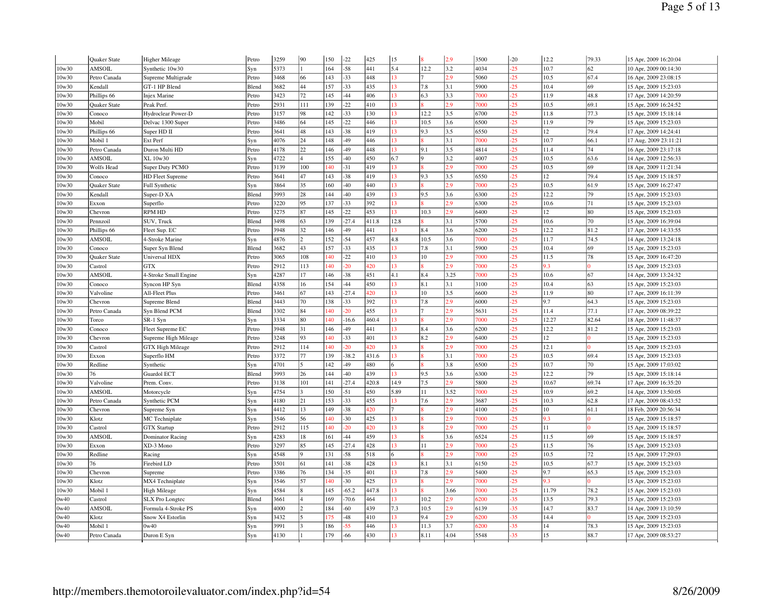|       | <b>Quaker State</b> | Higher Mileage          | Petro | 3259 | 90                       | 150        | $-22$       | 425        | 15       |              | 2.9  | 3500 | $-20$          | 12.2  | 79.33 | 15 Apr, 2009 16:20:04 |
|-------|---------------------|-------------------------|-------|------|--------------------------|------------|-------------|------------|----------|--------------|------|------|----------------|-------|-------|-----------------------|
| 10w30 | AMSOIL              | Synthetic 10w30         | Syn   | 5373 |                          | 164        | $-58$       | 441        | 5.4      | 12.2         | 3.2  | 4034 | $-25$          | 10.7  | 62    | 10 Apr, 2009 00:14:30 |
| 10w30 | Petro Canada        | Supreme Multigrade      | Petro | 3468 | 66                       | 143        | $-33$       | 448        | 13       |              | 2.9  | 5060 | $-25$          | 10.5  | 67.4  | 16 Apr, 2009 23:08:15 |
| 10w30 | Kendall             | GT-1 HP Blend           | Blend | 3682 | 44                       | 157        | $-33$       | 435        | 13       | 7.8          | 3.1  | 5900 | $-25$          | 10.4  | 69    | 15 Apr, 2009 15:23:03 |
| 10w30 | Phillips 66         | <b>Injex Marine</b>     | Petro | 3423 | 72                       | 145        | $-44$       | 406        | 13       | 6.3          | 3.3  | 7000 | $-25$          | 11.9  | 48.8  | 17 Apr, 2009 14:20:59 |
| 10w30 | Quaker State        | Peak Perf.              | Petro | 2931 | 111                      | 139        | $-22$       | 410        | 13       |              | 2.9  | 7000 | $-25$          | 10.5  | 69.1  | 15 Apr, 2009 16:24:52 |
| 10w30 | Conoco              | Hydroclear Power-D      | Petro | 3157 | 98                       | 142        | $-33$       | 130        | 13       | 12.2         | 3.5  | 6700 | $-25$          | 11.8  | 77.3  | 15 Apr, 2009 15:18:14 |
| 10w30 | Mobil               | Delvac 1300 Super       | Petro | 3486 | 64                       | 145        | $-22$       | 446        | 13       | 10.5         | 3.6  | 6500 | $-25$          | 11.9  | 79    | 15 Apr, 2009 15:23:03 |
| 10w30 | Phillips 66         | Super HD II             | Petro | 3641 | 48                       | 143        | $-38$       | 419        | 13       | 9.3          | 3.5  | 6550 | $-25$          | 12    | 79.4  | 17 Apr, 2009 14:24:41 |
| 10w30 | Mobil 1             | Ext Perf                | Syn   | 4076 | 24                       | 148        | -49         | 446        | 13       |              | 3.1  | 7000 | $-25$          | 10.7  | 66.1  | 17 Aug, 2009 23:11:21 |
| 10w30 | Petro Canada        | Duron Multi HD          | Petro | 4178 | 22                       | 146        | -49         | 448        | 13       | 9.1          | 3.5  | 4814 | $-25$          | 11.4  | 74    | 16 Apr, 2009 23:17:18 |
| 10w30 | AMSOIL              | XL 10w30                | Syn   | 4722 | $\overline{4}$           | 155        | $-40$       | 450        | 6.7      | 9            | 3.2  | 4007 | $-25$          | 10.5  | 63.6  | 14 Apr, 2009 12:56:33 |
| 10w30 | Wolfs Head          | Super Duty PCMO         | Petro | 3139 | 100                      | 140        | $-31$       | 419        | 13       |              | 2.9  | 7000 | $-25$          | 10.5  | 69    | 18 Apr, 2009 11:21:34 |
| 10w30 | Conoco              | <b>HD Fleet Supreme</b> | Petro | 3641 | 47                       | 143        | $-38$       | 419        | 13       | 9.3          | 3.5  | 6550 | $-25$          | 12    | 79.4  | 15 Apr, 2009 15:18:57 |
| 10w30 | <b>Quaker State</b> | <b>Full Synthetic</b>   | Syn   | 3864 | 35                       | 160        | $-40$       | 440        | 13       |              | 2.9  | 7000 | $-25$          | 10.5  | 61.9  | 15 Apr, 2009 16:27:47 |
| 10w30 | Kendall             | Super-D XA              | Blend | 3993 | 28                       | 144        | $-40$       | 439        | 13       | 9.5          | 3.6  | 6300 | $-25$          | 12.2  | 79    | 15 Apr, 2009 15:23:03 |
| 10w30 | Exxon               | Superflo                | Petro | 3220 | 95                       | 137        | $-33$       | 392        | 13       |              | 2.9  | 6300 | $-25$          | 10.6  | 71    | 15 Apr, 2009 15:23:03 |
| 10w30 | Chevron             | <b>RPM HD</b>           | Petro | 3275 | 87                       | 145        | $-22$       | 453        | 13       | 10.3         | 2.9  | 6400 | $-25$          | 12    | 80    | 15 Apr, 2009 15:23:03 |
| 10w30 | Pennzoil            | SUV, Truck              | Blend | 3498 | 63                       | 139        | $-27.4$     | 411.8      | 12.8     |              | 3.1  | 5700 | $-25$          | 10.6  | 70    | 15 Apr, 2009 16:39:04 |
| 10w30 | Phillips 66         | Fleet Sup. EC           | Petro | 3948 | 32                       | 146        | 49          | 441        | 13       | 8.4          | 3.6  | 6200 | $-25$          | 12.2  | 81.2  | 17 Apr, 2009 14:33:55 |
| 10w30 | AMSOIL              | 4-Stroke Marine         | Syn   | 4876 | $\overline{\mathcal{L}}$ | 152        | $-54$       | 457        | 4.8      | 10.5         | 3.6  | 7000 | $-25$          | 11.7  | 74.5  | 14 Apr, 2009 13:24:18 |
| 10w30 | Conoco              | Super Syn Blend         | Blend | 3682 | 43                       | 157        | $-33$       | 435        | 13       | 7.8          | 3.1  | 5900 | $-25$          | 10.4  | 69    | 15 Apr, 2009 15:23:03 |
| 10w30 | Quaker State        | <b>Universal HDX</b>    | Petro | 3065 | 108                      | 140        | $-22$       | 410        | 13       | 10           | 2.9  | 7000 | $-25$          | 11.5  | 78    | 15 Apr, 2009 16:47:20 |
| 10w30 | Castrol             | <b>GTX</b>              | Petro | 2912 | 113                      | 140        | 20          | 420        | 13       |              | 2.9  | 7000 | $-25$          | 9.3   |       | 15 Apr, 2009 15:23:03 |
| 10w30 | <b>AMSOIL</b>       | 4-Stroke Small Engine   | Syn   | 4287 | 17                       | 146        | $-38$       | 451        | 4.1      | 8.4          | 3.25 | 7000 | $-25$          | 10.6  | 67    | 14 Apr, 2009 13:24:32 |
| 10w30 | Conoco              | Syncon HP Syn           | Blend | 4358 | 16                       | 154        | $-44$       | 450        | 13       | 8.1          | 3.1  | 3100 | $-25$          | 10.4  | 63    | 15 Apr, 2009 15:23:03 |
| 10w30 | Valvoline           | All-Fleet Plus          | Petro | 3461 | 67                       | 143        | $-27.4$     | 420        | 13       | 10           | 3.5  | 6600 | $-25$          | 11.9  | 80    | 17 Apr, 2009 16:11:39 |
| 10w30 | Chevron             | Supreme Blend           | Blend | 3443 | 70                       | 138        | $-33$       | 392        | 13       | 7.8          | 2.9  | 6000 | $-25$          | 9.7   | 64.3  | 15 Apr, 2009 15:23:03 |
| 10w30 | Petro Canada        | Syn Blend PCM           | Blend | 3302 | 84                       | 140        | 20          | 455        | 13       |              | 2.9  | 5631 | $-25$          | 11.4  | 77.1  | 17 Apr, 2009 08:39:22 |
| 10w30 | Torco               | SR-1 Syn                | Syn   | 3334 | 80                       | 40         | $-16.6$     | 460.4      | 13       |              | 2.9  | 7000 | $-25$          | 12.27 | 82.64 | 18 Apr, 2009 11:48:37 |
| 10w30 | Conoco              | Fleet Supreme EC        | Petro | 3948 | 31                       | 146        | -49         | 441        | 13       | 8.4          | 3.6  | 6200 | $-25$          | 12.2  | 81.2  | 15 Apr, 2009 15:23:03 |
| 10w30 | Chevron             | Supreme High Mileage    | Petro | 3248 | 93                       | 140        | $-33$       | 401        | 13       | 8.2          | 2.9  | 6400 | $-25$          | 12    |       | 15 Apr, 2009 15:23:03 |
| 10w30 | Castrol             | <b>GTX High Mileage</b> | Petro | 2912 | 114                      | 140        | 20          | 420        | 13       |              | 2.9  | 7000 | $-25$          | 12.1  |       | 15 Apr, 2009 15:23:03 |
| 10w30 | Exxon               | Superflo HM             | Petro | 3372 | 77                       | 139        | $-38.2$     | 431.6      | 13       |              | 3.1  | 7000 | $-25$          | 10.5  | 69.4  | 15 Apr, 2009 15:23:03 |
| 10w30 | Redline             | Synthetic               | Syn   | 4701 | 5                        | 142        | -49         | 480        |          |              | 3.8  | 6500 | $-25$          | 10.7  | 70    | 15 Apr, 2009 17:03:02 |
| 10w30 | 76                  | Guardol ECT             | Blend | 3993 | 26                       | 144        | 40          | 439        | 13       | 9.5          | 3.6  | 6300 | $-25$          | 12.2  | 79    | 15 Apr, 2009 15:18:14 |
| 10w30 | Valvoline           | Prem. Conv              | Petro | 3138 | 101                      | 141        | $-27.4$     | 420.8      | 14.9     | 7.5          | 2.9  | 5800 | $-25$          | 10.67 | 69.74 | 17 Apr, 2009 16:35:20 |
| 10w30 | AMSOIL              | Motorcycle              | Syn   | 4754 | 3                        | 150        | $-51$       | 450        | 5.89     | 11           | 3.52 | 7000 | $-25$          | 10.9  | 69.2  | 14 Apr, 2009 13:50:05 |
| 10w30 | Petro Canada        | Synthetic PCM           | Syn   | 4180 | 21                       | 153        | $-33$       | 455        | 13       | 7.6          | 2.9  | 3687 | $-25$          | 10.3  | 62.8  | 17 Apr, 2009 08:43:52 |
| 10w30 | Chevron             | Supreme Syn             | Syn   | 4412 | 13                       | 149        | $-38$       | 420        |          |              | 2.9  | 4100 | $-25$          | 10    | 61.1  | 18 Feb, 2009 20:56:34 |
| 10w30 | Klotz               | MC Techniplate          | Syn   | 3546 | 56                       | 140        | $-30$       | 425        | 13       |              | 2.9  | 7000 | $-25$          | 9.3   |       | 15 Apr, 2009 15:18:57 |
| 10w30 | Castrol             | <b>GTX Startup</b>      | Petro | 2912 | 115                      | 140        | 20          | 420        | 13       |              | 2.9  | 7000 | $-25$          | 11    |       | 15 Apr, 2009 15:18:57 |
| 10w30 | AMSOIL              | Dominator Racing        | Syn   | 4283 | 18                       | 161        | -44         | 459        | 13       |              | 3.6  | 6524 | $-25$          | 11.5  | 69    | 15 Apr, 2009 15:18:57 |
| 10w30 | Exxon               | XD-3 Mono               | Petro | 3297 | 85                       | 145        | $-27.4$     | 428        | 13       | 11           | 2.9  | 7000 | $-25$          | 11.5  | 76    | 15 Apr, 2009 15:23:03 |
| 10w30 | Redline             | Racing                  | Syn   | 4548 | 9                        | 131        | $-58$       | 518        | 6        |              | 2.9  | 7000 | $-25$          | 10.5  | 72    | 15 Apr, 2009 17:29:03 |
| 10w30 | 76                  | Firebird LD             | Petro | 3501 | 61                       | 141        | $-38$       | 428        | 13       | 8.1          | 3.1  | 6150 | $-25$          | 10.5  | 67.7  | 15 Apr, 2009 15:23:03 |
| 10w30 | Chevron             | Supreme                 | Petro | 3386 | 76                       | 134        | $-35$       | 401        | 13       | 7.8          | 2.9  | 5400 | $-25$          | 9.7   | 65.3  | 15 Apr, 2009 15:23:03 |
| 10w30 | Klotz               | MX4 Techniplate         | Syn   | 3546 | 57                       | 140        | $-30$       | 425        | 13       |              | 2.9  | 7000 | $-25$          | 9.3   |       | 15 Apr, 2009 15:23:03 |
| 10w30 | Mobil 1             | <b>High Mileage</b>     | Syn   | 4584 | $\overline{\mathbf{x}}$  | 145        | $-65.2$     | 447.8      | 13       |              | 3.66 | 7000 | $-25$          | 11.79 | 78.2  | 15 Apr, 2009 15:23:03 |
| 0w40  | Castrol             | <b>SLX</b> Pro Longtec  | Blend | 3661 | 4                        | 169        | $-70.6$     | 464        | 13       | 10.2         | 2.9  | 6200 | $-35$          | 13.5  | 79.3  | 15 Apr, 2009 15:23:03 |
| 0w40  | AMSOIL              | Formula 4-Stroke PS     | Syn   | 4000 | $\mathcal{P}$            | 184        | $-60$       | 439        | 7.3      | 10.5         | 2.9  | 6139 | $-35$          | 14.7  | 83.7  | 14 Apr, 2009 13:10:59 |
| 0w40  | Klotz               | Snow X4 Estorlin        | Syn   | 3432 | 3                        | 75         | 48          | 410        | 13       | 9.4          | 2.9  | 5200 | $-35$          | 14.4  |       | 15 Apr, 2009 15:23:03 |
| 0w40  | Mobil 1             | 0w40                    | Syn   | 3991 |                          | 186<br>179 | 55<br>$-66$ | 446<br>430 | 13<br>13 | 11.3<br>8.11 | 3.7  | 6200 | $-35$<br>$-35$ | 14    | 78.3  | 15 Apr, 2009 15:23:03 |
| 0w40  | Petro Canada        | Duron E Syn             | Syn   | 4130 |                          |            |             |            |          |              | 4.04 | 5548 |                | 15    | 88.7  | 17 Apr, 2009 08:53:27 |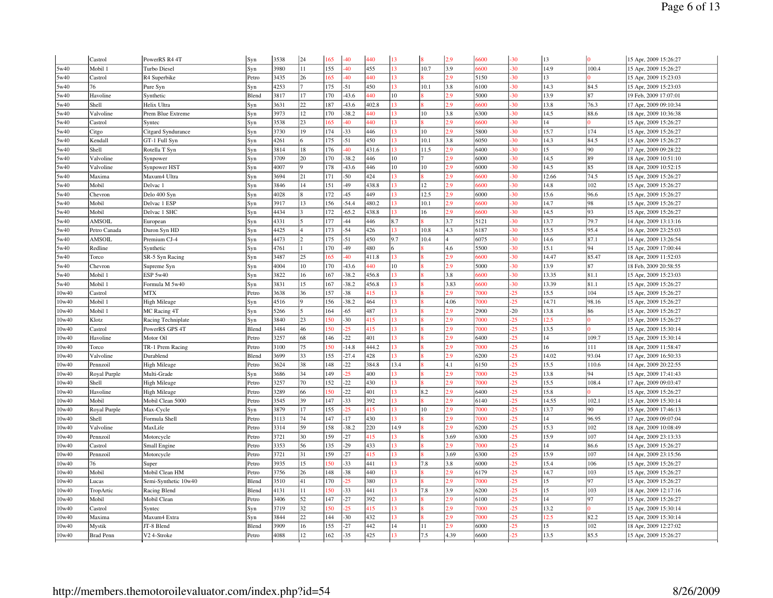|       | Castrol          | PowerRS R4 4T        | Syn   | 3538 | 24 | 165 | $-40$   | 440   | 13              |      | 2.9  | 6600 | $-30$ | 13    |       | 15 Apr, 2009 15:26:27 |
|-------|------------------|----------------------|-------|------|----|-----|---------|-------|-----------------|------|------|------|-------|-------|-------|-----------------------|
| 5w40  | Mobil 1          | Turbo Diesel         | Syn   | 3980 | 11 | 155 | $-40$   | 455   | 13              | 10.7 | 3.9  | 6600 | $-30$ | 14.9  | 100.4 | 15 Apr, 2009 15:26:27 |
| 5w40  | Castrol          | R4 Superbike         | Petro | 3435 | 26 | 165 | $-40$   | 440   | 13              |      | 2.9  | 5150 | $-30$ | 13    |       | 15 Apr, 2009 15:23:03 |
| 5w40  | 76               | Pure Syn             | Syn   | 4253 |    | 175 | $-51$   | 450   | 13              | 10.1 | 3.8  | 6100 | $-30$ | 14.3  | 84.5  | 15 Apr, 2009 15:23:03 |
| 5w40  | Havoline         | Synthetic            | Blend | 3817 | 17 | 170 | $-43.6$ | 440   | 10              |      | 2.9  | 5000 | $-30$ | 13.9  | 87    | 19 Feb, 2009 17:07:01 |
| 5w40  | Shell            | Helix Ultra          | Syn   | 3631 | 22 | 187 | $-43.6$ | 402.8 | 13              |      | 2.9  | 5600 | 30    | 13.8  | 76.3  | 17 Apr, 2009 09:10:34 |
| 5w40  | Valvoline        | Prem Blue Extreme    | Syn   | 3973 | 12 | 170 | $-38.2$ | 440   | 13              | 10   | 3.8  | 6300 | $-30$ | 14.5  | 88.6  | 18 Apr, 2009 10:36:38 |
| 5w40  | Castrol          | Syntec               | Syn   | 3538 | 23 | 165 | $-40$   | 440   | 13              |      | 2.9  | 6600 | $-30$ | 14    |       | 15 Apr, 2009 15:26:27 |
| 5w40  | Citgo            | Citgard Syndurance   | Syn   | 3730 | 19 | 174 | $-33$   | 446   | 13              | 10   | 2.9  | 5800 | 30    | 15.7  | 174   | 15 Apr, 2009 15:26:27 |
| 5w40  | Kendall          | GT-1 Full Syn        | Syn   | 4261 |    | 175 | $-51$   | 450   | 13              | 10.1 | 3.8  | 6050 | $-30$ | 14.3  | 84.5  | 15 Apr, 2009 15:26:27 |
| 5w40  | Shell            | Rotella T Syn        | Syn   | 3814 | 18 | 176 | $-40$   | 431.6 | 13              | 11.5 | 2.9  | 6400 | $-30$ | 15    | 90    | 17 Apr, 2009 09:28:22 |
| 5w40  | Valvoline        | Synpower             | Syn   | 3709 | 20 | 170 | $-38.2$ | 446   | 10              |      | 2.9  | 6000 | $-30$ | 14.5  | 89    | 18 Apr, 2009 10:51:10 |
| 5w40  | Valvoline        | Synpower HST         | Syn   | 4007 |    | 178 | $-43.6$ | 446   | 10              | 10   | 2.9  | 6000 | $-30$ | 14.5  | 85    | 18 Apr, 2009 10:52:15 |
| 5w40  | Maxima           | Maxum4 Ultra         | Syn   | 3694 | 21 | 171 | $-50$   | 424   | 13              |      | 29   | 5600 | $-30$ | 12.66 | 74.5  | 15 Apr, 2009 15:26:27 |
| 5w40  | Mobil            | Delvac 1             | Syn   | 3846 | 14 | 151 | $-49$   | 438.8 | 13              | 12   | 2.9  | 6600 | $-30$ | 14.8  | 102   | 15 Apr, 2009 15:26:27 |
| 5w40  | Chevron          | Delo 400 Syn         | Syn   | 4028 |    | 172 | $-45$   | 449   | 13              | 12.5 | 2.9  | 6000 | $-30$ | 15.6  | 96.6  | 15 Apr, 2009 15:26:27 |
| 5w40  | Mobil            | Delvac 1 ESP         | Syn   | 3917 | 13 | 156 | $-54.4$ | 480.2 | 13              | 10.1 | 2.9  | 5600 | 30    | 14.7  | 98    | 15 Apr, 2009 15:26:27 |
| 5w40  | Mobil            | Delvac 1 SHC         | Syn   | 4434 |    | 172 | $-65.2$ | 438.8 | 13              | 16   | 2.9  | 5600 | $-30$ | 14.5  | 93    | 15 Apr, 2009 15:26:27 |
| 5w40  | AMSOIL           | European             | Syn   | 4331 |    | 177 | $-44$   | 446   | 8.7             |      | 3.7  | 5121 | $-30$ | 13.7  | 79.7  | 14 Apr, 2009 13:13:16 |
| 5w40  | Petro Canada     | Duron Syn HD         | Syn   | 4425 |    | 173 | $-54$   | 426   | 13              | 10.8 | 4.3  | 6187 | $-30$ | 15.5  | 95.4  | 16 Apr, 2009 23:25:03 |
| 5w40  | AMSOIL           | Premium CJ-4         | Syn   | 4473 |    | 175 | $-51$   | 450   | 9.7             | 10.4 |      | 6075 | $-30$ | 14.6  | 87.1  | 14 Apr, 2009 13:26:54 |
| 5w40  | Redline          | Synthetic            | Syn   | 4761 |    | 170 | $-49$   | 480   | 6               |      | 4.6  | 5500 | $-30$ | 15.1  | 94    | 15 Apr, 2009 17:00:44 |
| 5w40  | Torco            | SR-5 Syn Racing      | Syn   | 3487 | 25 | 165 | $-40$   | 411.8 | 13              |      | 2.9  | 6600 | $-30$ | 14.47 | 85.47 | 18 Apr, 2009 11:52:03 |
| 5w40  | Chevron          | Supreme Syn          | Syn   | 4004 | 10 | 170 | $-43.6$ | 440   | 10              |      | 2.9  | 5000 | $-30$ | 13.9  | 87    | 18 Feb, 2009 20:58:55 |
| 5w40  | Mobil 1          | ESP 5w40             | Syn   | 3822 | 16 | 167 | 38.2    | 456.8 | 13              |      | 3.8  | 5600 | $-30$ | 13.35 | 81.1  | 15 Apr, 2009 15:23:03 |
| 5w40  | Mobil 1          | Formula M 5w40       | Syn   | 3831 | 15 | 167 | 38.2    | 456.8 | 13              |      | 3.83 | 6600 | $-30$ | 13.39 | 81.1  | 15 Apr, 2009 15:26:27 |
| 10w40 | Castrol          | <b>MTX</b>           | Petro | 3638 | 36 | 157 | $-38$   | 415   | 13              |      | 2.9  | 7000 | $-25$ | 15.5  | 104   | 15 Apr, 2009 15:26:27 |
| 10w40 | Mobil 1          | High Mileage         | Syn   | 4516 |    | 156 | $-38.2$ | 464   | 13              |      | 4.06 | 7000 | $-25$ | 14.71 | 98.16 | 15 Apr, 2009 15:26:27 |
| 10w40 | Mobil 1          | MC Racing 4T         | Syn   | 5266 |    | 164 | $-65$   | 487   | 13              |      | 2.9  | 2900 | $-20$ | 13.8  | 86    | 15 Apr, 2009 15:26:27 |
| 10w40 | Klotz            | Racing Techniplate   | Syn   | 3840 | 23 | 50  | $-30$   | 415   | 13              |      | 2.9  | 7000 | $-25$ | 12.5  |       | 15 Apr, 2009 15:26:27 |
| 10w40 | Castrol          | PowerRS GPS 4T       | Blend | 3484 | 46 | 50  | $-25$   | 415   | 13              |      | 2.9  | 7000 | $-25$ | 13.5  |       | 15 Apr, 2009 15:30:14 |
| 10w40 | Havoline         | Motor Oil            | Petro | 3257 | 68 | 146 | $-22$   | 401   | 13              |      | 2.9  | 6400 | $-25$ | 14    | 109.7 | 15 Apr, 2009 15:30:14 |
| 10w40 | Torco            | TR-1 Prem Racing     | Petro | 3100 | 75 | 50  | $-14.8$ | 444.2 | 13              |      | 2.9  | 7000 | $-25$ | 16    | 111   | 18 Apr, 2009 11:58:47 |
| 10w40 | Valvoline        | Durablend            | Blend | 3699 | 33 | 155 | $-27.4$ | 428   | 13 <sup>°</sup> |      | 2.9  | 6200 | $-25$ | 14.02 | 93.04 | 17 Apr, 2009 16:50:33 |
| 10w40 | Pennzoil         | High Mileage         | Petro | 3624 | 38 | 148 | $-22$   | 384.8 | 13.4            |      | 4.1  | 6150 | $-25$ | 15.5  | 110.6 | 14 Apr, 2009 20:22:55 |
| 10w40 | Royal Purple     | Multi-Grade          | Syn   | 3686 | 34 | 149 | 25      | 400   | 13              |      | 2.9  | 7000 | $-25$ | 13.8  | 94    | 15 Apr, 2009 17:41:43 |
| 10w40 | Shell            | High Mileage         | Petro | 3257 | 70 | 152 | $-22$   | 430   | 13              |      | 2.9  | 7000 | $-25$ | 15.5  | 108.4 | 17 Apr, 2009 09:03:47 |
| 10w40 | Havoline         | <b>High Mileage</b>  | Petro | 3289 | 66 | 50  | $-22$   | 401   | 13              | 8.2  | 2.9  | 6400 | $-25$ | 15.8  |       | 15 Apr, 2009 15:26:27 |
| 10w40 | Mobil            | Mobil Clean 5000     | Petro | 3545 | 39 | 147 | $-33$   | 392   | 13              |      | 2.9  | 6140 | $-25$ | 14.55 | 102.1 | 15 Apr, 2009 15:30:14 |
| 10w40 | Royal Purple     | Max-Cycle            | Syn   | 3879 | 17 | 155 | 25      | 415   | 13              | 10   | 2.9  | 7000 | $-25$ | 13.7  | 90    | 15 Apr, 2009 17:46:13 |
| 10w40 | Shell            | Formula Shell        | Petro | 3113 | 74 | 147 | $-17$   | 430   | 13              |      | 2.9  | 7000 | $-25$ | 14    | 96.95 | 17 Apr, 2009 09:07:04 |
| 10w40 | Valvoline        | MaxLife              | Petro | 3314 | 59 | 158 | $-38.2$ | 220   | 14.9            |      | 2.9  | 6200 | $-25$ | 15.3  | 102   | 18 Apr, 2009 10:08:49 |
| 10w40 | Pennzoil         | Motorcycle           | Petro | 3721 | 30 | 159 | $-27$   | 415   | 13              |      | 3.69 | 6300 | $-25$ | 15.9  | 107   | 14 Apr, 2009 23:13:33 |
| 10w40 | Castrol          | Small Engine         | Petro | 3353 | 56 | 135 | $-29$   | 433   | 13              |      | 2.9  | 7000 | $-25$ | 14    | 86.6  | 15 Apr, 2009 15:26:27 |
| 10w40 | Pennzoil         | Motorcycle           | Petro | 3721 | 31 | 159 | $-27$   | 415   | 13              |      | 3.69 | 6300 | $-25$ | 15.9  | 107   | 14 Apr, 2009 23:15:56 |
| 10w40 | 76               | Super                | Petro | 3935 | 15 | 50  | $-33$   | 441   | 13              | 7.8  | 3.8  | 6000 | $-25$ | 15.4  | 106   | 15 Apr, 2009 15:26:27 |
| 10w40 | Mobil            | Mobil Clean HM       | Petro | 3756 | 26 | 148 | $-38$   | 440   | 13              |      | 2.9  | 6179 | $-25$ | 14.7  | 103   | 15 Apr, 2009 15:26:27 |
| 10w40 | Lucas            | Semi-Synthetic 10w40 | Blend | 3510 | 41 | 170 | 25      | 380   | 13              |      | 2.9  | 7000 | $-25$ | 15    | 97    | 15 Apr, 2009 15:26:27 |
| 10w40 | TropArtic        | Racing Blend         | Blend | 4131 | 11 | 50  | $-33$   | 441   | 13              | 7.8  | 3.9  | 6200 | $-25$ | 15    | 103   | 18 Apr, 2009 12:17:16 |
| 10w40 | Mobil            | Mobil Clean          | Petro | 3406 | 52 | 147 | $-27$   | 392   | 13              |      | 2.9  | 6100 | $-25$ | 14    | 97    | 15 Apr, 2009 15:26:27 |
| 10w40 | Castrol          | Syntec               | Syn   | 3719 | 32 | 50  | 25      | 415   | 13              |      | 2.9  | 7000 | $-25$ | 13.2  |       | 15 Apr, 2009 15:30:14 |
| 10w40 | Maxima           | Maxum4 Extra         | Syn   | 3844 | 22 | 144 | $-30$   | 432   | 13              |      | 2.9  | 7000 | 25    | 12.5  | 82.2  | 15 Apr, 2009 15:30:14 |
| 10w40 | Mystik           | JT-8 Blend           | Blend | 3909 | 16 | 155 | $-27$   | 442   | 14              | 11   | 2.9  | 6000 | $-25$ | 15    | 102   | 18 Apr, 2009 12:27:02 |
| 10w40 | <b>Brad Penn</b> | V2 4-Stroke          | Petro | 4088 | 12 | 162 | $-35$   | 425   | 13              | 7.5  | 4.39 | 6600 | $-25$ | 13.5  | 85.5  | 15 Apr, 2009 15:26:27 |
|       |                  |                      |       |      |    |     |         |       |                 |      |      |      |       |       |       |                       |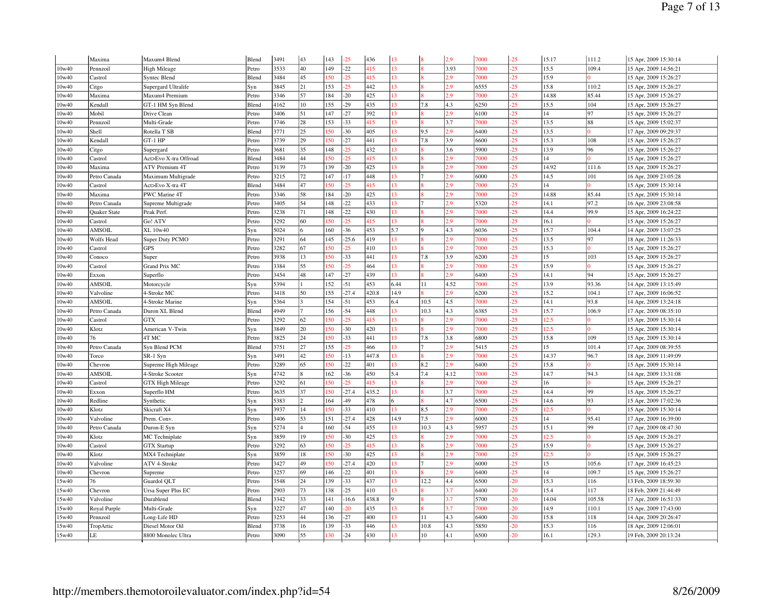|                | Maxima              | Maxum4 Blend            | Blend | 3491         | 43             | 143        | $-25$          | 436          | 13        |      | 2.9        | 7000         | $-25$          | 15.17         | 111.2          | 15 Apr, 2009 15:30:14 |
|----------------|---------------------|-------------------------|-------|--------------|----------------|------------|----------------|--------------|-----------|------|------------|--------------|----------------|---------------|----------------|-----------------------|
| 10w40          | Pennzoil            | High Mileage            | Petro | 3533         | 40             | 149        | $-22$          | 415          | 13        |      | 3.93       | 7000         | $-25$          | 15.5          | 109.4          | 15 Apr, 2009 14:56:21 |
| 10w40          | Castrol             | Syntec Blend            | Blend | 3484         | 45             | 50         | $-25$          | 415          | 13        |      | 2.9        | 7000         | $-25$          | 15.9          | $\Omega$       | 15 Apr, 2009 15:26:27 |
| 10w40          | Citgo               | Supergard Ultralife     | Syn   | 3845         | 21             | 153        | $-25$          | 442          | 13        |      | 2.9        | 6555         | $-25$          | 15.8          | 110.2          | 15 Apr, 2009 15:26:27 |
| 10w40          | Maxima              | Maxum4 Premium          | Petro | 3346         | 57             | 184        | $-20$          | 425          | 13        |      | 2.9        | 7000         | $-25$          | 14.88         | 85.44          | 15 Apr, 2009 15:26:27 |
| 10w40          | Kendall             | GT-1 HM Syn Blend       | Blend | 4162         | 10             | 155        | $-29$          | 435          | 13        | 7.8  | 4.3        | 6250         | .25            | 15.5          | 104            | 15 Apr, 2009 15:26:27 |
| 10w40          | Mobil               | Drive Clean             | Petro | 3406         | 51             | 147        | $-27$          | 392          | 13        |      | 2.9        | 6100         | $-25$          | 14            | 97             | 15 Apr, 2009 15:26:27 |
| 10w40          | Pennzoil            | Multi-Grade             | Petro | 3746         | 28             | 153        | $-33$          | 415          | 13        |      | 3.7        | 7000         | $-25$          | 13.5          | 88             | 15 Apr, 2009 15:02:37 |
| 10w40          | Shell               | Rotella T SB            | Blend | 3771         | 25             | 50         | $-30$          | 405          | 13        | 9.5  | 2.9        | 6400         | $-25$          | 13.5          |                | 17 Apr, 2009 09:29:37 |
| 10w40          | Kendall             | GT-1 HP                 | Petro | 3739         | 29             | 150        | $-27$          | 441          | 13        | 7.8  | 3.9        | 6600         | $-25$          | 15.3          | 108            | 15 Apr, 2009 15:26:27 |
| 10w40          | Citgo               | Supergard               | Petro | 3681         | 35             | 148        | 25             | 432          | 13        |      | 3.6        | 5900         | $-25$          | 13.9          | 96             | 15 Apr, 2009 15:26:27 |
| 10w40          | Castrol             | Act>Evo X-tra Offroad   | Blend | 3484         | 44             | 50         | 25             | 415          | 13        |      | 2.9        | 7000         | $-25$          | 14            | $\Omega$       | 15 Apr, 2009 15:26:27 |
| 10w40          | Maxima              | <b>ATV Premium 4T</b>   | Petro | 3139         | 73             | 139        | $-20$          | 425          | 13        |      | 2.9        | 7000         | $-25$          | 14.92         | 111.6          | 15 Apr, 2009 15:26:27 |
| 10w40          | Petro Canada        | Maximum Multigrade      | Petro | 3215         | 72             | 147        | $-17$          | 448          | 13        |      | 2.9        | 6000         | $-25$          | 14.5          | 101            | 16 Apr, 2009 23:05:28 |
| 10w40          | Castrol             | Act>Evo X-tra 4T        | Blend | 3484         | 47             | <b>50</b>  | 25             | 415          | 13        |      | 2.9        | 7000         | $-25$          | 14            | 10             | 15 Apr, 2009 15:30:14 |
| 10w40          | Maxima              | PWC Marine 4T           | Petro | 3346         | 58             | 184        | $-20$          | 425          | 13        |      | 2.9        | 7000         | $-25$          | 14.88         | 85.44          | 15 Apr, 2009 15:30:14 |
| 0w40           | Petro Canada        | Supreme Multigrade      | Petro | 3405         | 54             | 148        | $-22$          | 433          | 13        |      | 2.9        | 5320         | $-25$          | 14.1          | 97.2           | 16 Apr, 2009 23:08:58 |
| 10w40          | <b>Quaker State</b> | Peak Perf.              | Petro | 3238         | 71             | 148        | $-22$          | 430          | 13        |      | 2.9        | 7000         | $-25$          | 14.4          | 99.9           | 15 Apr, 2009 16:24:22 |
| 10w40          | Castrol             | Go! ATV                 | Petro | 3292         | 60             | 150        | $-25$          | 415          | 13        |      | 2.9        | 7000         | $-25$          | 16.1          | Ю              | 15 Apr, 2009 15:26:27 |
| 0w40           | AMSOIL              | XL 10w40                | Syn   | 5024         | 6              | 160        | $-36$          | 453          | 5.7       |      | 4.3        | 6036         | $-25$          | 15.7          | 104.4          | 14 Apr, 2009 13:07:25 |
| 10w40          | Wolfs Head          | Super Duty PCMO         | Petro | 3291         | 64             | 145        | $-25.6$        | 419          | 13        |      | 2.9        | 7000         | $-25$          | 13.5          | 97             | 18 Apr, 2009 11:26:33 |
| 10w40          | Castrol             | <b>GPS</b>              | Petro | 3282         | 67             | 150        | $-25$          | 410          | 13        |      | 2.9        | 7000         | $-25$          | 15.3          | lo             | 15 Apr, 2009 15:26:27 |
| 10w40          | Conoco              | Super                   | Petro | 3938         | 13             | 150        | $-33$          | 441          | 13        | 7.8  | 3.9        | 6200         | $-25$          | 15            | 103            | 15 Apr, 2009 15:26:27 |
| 10w40          | Castrol             | Grand Prix MC           | Petro | 3384         | 55             | 50         | 25             | 464          | 13        |      | 2.9        | 7000         | $-25$          | 15.9          | $\overline{0}$ | 15 Apr, 2009 15:26:27 |
| 10w40          | Exxon               | Superflo                | Petro | 3454         | 48             | 147        | $-27$          | 439          | 13        |      | 2.9        | 6400         | .25            | 14.1          | 94             | 15 Apr, 2009 15:26:27 |
| 10w40          | AMSOIL              | Motorcycle              | Syn   | 5394         |                | 152        | $-51$          | 453          | 6.44      | 11   | 4.52       | 7000         | $-25$          | 13.9          | 93.36          | 14 Apr, 2009 13:15:49 |
| 10w40          | Valvoline           | 4-Stroke MC             | Petro | 3418         | 50             | 155        | $-27.4$        | 420.8        | 14.9      |      | 2.9        | 6200         | $-25$          | 15.2          | 104.1          | 17 Apr, 2009 16:06:52 |
| 0w40           | AMSOIL              | 4-Stroke Marine         | Syn   | 5364         |                | 154        | $-51$          | 453          | 6.4       | 10.5 | 4.5        | 7000         | .25            | 14.1          | 93.8           | 14 Apr, 2009 13:24:18 |
| 10w40          | Petro Canada        | Duron XL Blend          | Blend | 4949         | $\overline{1}$ | 156        | $-54$          | 448          | 13        | 10.3 | 4.3        | 6385         | $-25$          | 15.7          | 106.9          | 17 Apr, 2009 08:35:10 |
| 0w40           | Castrol             | <b>GTX</b>              | Petro | 3292         | 62             | 50         | 25             | 415          | 13        |      | 2.9        | 7000         | $-25$          | 12.5          | $\Omega$       | 15 Apr, 2009 15:30:14 |
| 10w40          | Klotz               | American V-Twin         | Syn   | 3849         | 20             | 150        | $-30$          | 420          | 13        |      | 2.9        | 7000         | $-25$          | 12.5          | $\Omega$       | 15 Apr, 2009 15:30:14 |
| 10w40          | 76                  | 4T MC                   | Petro | 3825         | 24             | 150        | $-33$          | 441          | 13        | 7.8  | 3.8        | 6800         | $-25$          | 15.8          | 109            | 15 Apr, 2009 15:30:14 |
| 10w40          | Petro Canada        | Syn Blend PCM           | Blend | 3751         | 27             | 155        | 25             | 466          | 13        |      | 2.9        | 5415         | .25            | 15            | 101.4          | 17 Apr, 2009 08:39:55 |
| 10w40          | Torco               | SR-1 Syn                | Syn   | 3491         | 42             | 150        | $-13$          | 447.8        | 13        |      | 2.9        | 7000         | $-25$          | 14.37         | 96.7           | 18 Apr, 2009 11:49:09 |
| 10w40          | Chevron             | Supreme High Mileage    | Petro | 3289         | 65             | 150        | $-22$          | 401          | 13        | 8.2  | 2.9        | 6400         | $-25$          | 15.8          |                | 15 Apr, 2009 15:30:14 |
| 0w40           | <b>AMSOIL</b>       | 4-Stroke Scooter        | Syn   | 4742         |                | 162        | $-36$          | 450          | 5.4       | 7.4  | 4.12       | 7000         | $-25$          | 14.7          | 94.3           | 14 Apr, 2009 13:31:08 |
| 10w40          | Castrol             | <b>GTX High Mileage</b> | Petro | 3292         | 61             | 50         | 25             | 415          | 13        |      | 2.9        | 7000         | $-25$          | 16            | lo.            | 15 Apr, 2009 15:26:27 |
| 10w40          | Exxon               | Superflo HM             | Petro | 3635         | 37             | 150        | $-27.4$        | 435.2        | 13        |      | 3.7        | 7000         | $-25$          | 14.4          | 99             | 15 Apr, 2009 15:26:27 |
| 10w40          | Redline             | Synthetic               | Syn   | 5383         | $\overline{2}$ | 164        | -49            | 478          |           |      | 4.7        | 6500         | $-25$          | 14.6          | 93             | 15 Apr, 2009 17:02:36 |
| 10w40          | Klotz               | Skicraft X4             | Syn   | 3937         | 14             | 50         | $-33$          | 410          | 13        | 8.5  | 2.9        | 7000         | $-25$          | 12.5          | $\Omega$       | 15 Apr, 2009 15:30:14 |
| 10w40          | Valvoline           | Prem. Conv.             | Petro | 3406         | 53             | 151        | $-27.4$        | 428          | 14.9      | 7.5  | 2.9        | 6000         | $-25$          | 14            | 95.41          | 17 Apr, 2009 16:39:00 |
| 10w40          | Petro Canada        | Duron-E Syn             | Syn   | 5274         | $\overline{4}$ | 160        | $-54$          | 455          | 13        | 10.3 | 4.3        | 5957         | $-25$          | 15.1          | 99             | 17 Apr, 2009 08:47:30 |
| 10w40          | Klotz               | MC Techniplate          | Syn   | 3859         | 19             | 50         | $-30$          | 425          | 13        |      | 2.9        | 7000         | $-25$          | 12.5          | $\Omega$       | 15 Apr, 2009 15:26:27 |
| 10w40          | Castrol             | <b>GTX Startup</b>      | Petro | 3292         | 63             | 150        | 25             | 415          | 13        |      | 2.9        | 7000         | $-25$          | 15.9          | $\Omega$       | 15 Apr, 2009 15:26:27 |
| 10w40          | Klotz               | MX4 Techniplate         | Syn   | 3859         | 18             | 150        | $-30$          | 425          | 13        |      | 2.9        | 7000         | $-25$          | 12.5          | lo.            | 15 Apr, 2009 15:26:27 |
| 10w40          | Valvoline           | ATV 4-Stroke            | Petro | 3427         | 49             | 150        | $-27.4$        | 420          | 13        |      | 2.9        | 6000         | $-25$          | 15            | 105.6          | 17 Apr, 2009 16:45:23 |
| 10w40          | Chevron             | Supreme                 | Petro | 3257         | 69             | 146        | $-22$          | 401          | 13        |      | 2.9        | 6400         | $-25$          | 14            | 109.7          | 15 Apr, 2009 15:26:27 |
| 15w40          | 76                  | Guardol QLT             | Petro | 3548         | 24             | 139        | $-33$          | 437          | 13        | 12.2 | 4.4        | 6500         | $-20$          | 15.3          | 116            | 13 Feb, 2009 18:59:30 |
| 15w40          | Chevron             | Ursa Super Plus EC      | Petro | 2903         | 73             | 138        | $-25$          | 410          | 13        |      | 3.7        | 6400         | $-20$          | 15.4          | 117            | 18 Feb, 2009 21:44:49 |
| 15w40          | Valvoline           | Durablend               | Blend | 3342<br>3227 | 33<br>47       | 141        | $-16.6$        | 438.8<br>435 | 19.<br>13 |      | 3.7<br>3.7 | 5700<br>7000 | $-20$<br>$-20$ | 14.04<br>14.9 | 105.58         | 17 Apr, 2009 16:51:33 |
| 15w40          | Royal Purple        | Multi-Grade             | Syn   |              | 44             | 140        | 20             |              | 13        | 11   |            | 6400         | $-20$          |               | 110.1          | 15 Apr, 2009 17:43:00 |
| 15w40<br>15w40 | Pennzoil            | Long-Life HD            | Petro | 3253<br>3738 | 16             | 136<br>139 | $-27$<br>$-33$ | 400<br>446   | 13        | 10.8 | 4.3<br>4.3 | 5850         | $-20$          | 15.8<br>15.3  | 118<br>116     | 14 Apr, 2009 20:26:47 |
|                | TropArtic           | Diesel Motor Oil        | Blend | 3090         | 55             | 30         | $-24$          | 430          | 13        | 10   | 4.1        | 6500         | $-20$          |               | 129.3          | 18 Apr, 2009 12:06:01 |
| 15w40          | LE                  | 8800 Monolec Ultra      | Petro |              |                |            |                |              |           |      |            |              |                | 16.1          |                | 19 Feb, 2009 20:13:24 |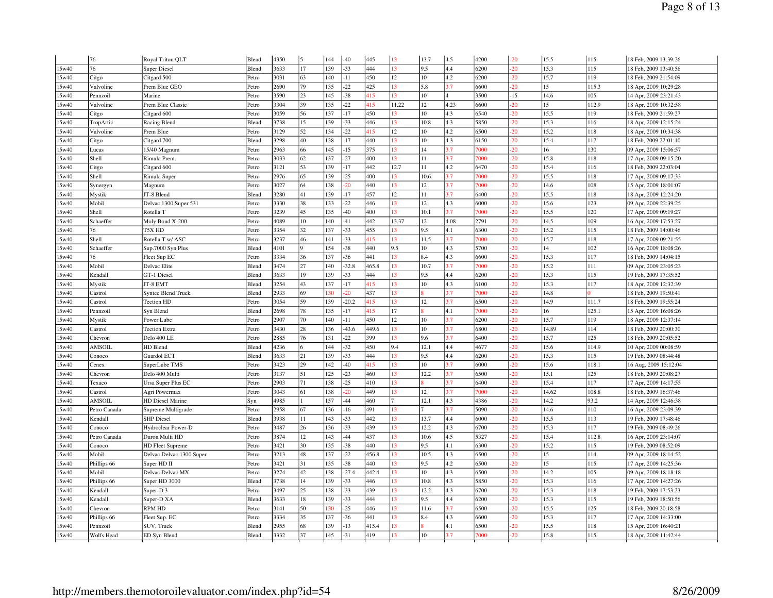|       | 76           | Royal Triton QLT          | Blend | 4350 | l5           | 144 | $-40$   | 445   | 13    | 13.7 | 4.5  | 4200 | $-20$ | 15.5  | 115   | 18 Feb. 2009 13:39:26 |
|-------|--------------|---------------------------|-------|------|--------------|-----|---------|-------|-------|------|------|------|-------|-------|-------|-----------------------|
| 15w40 | 76           | <b>Super Diesel</b>       | Blend | 3633 | 17           | 139 | $-33$   | 444   | 13    | 9.5  | 4.4  | 6200 | $-20$ | 15.3  | 115   | 18 Feb, 2009 13:40:56 |
| 15w40 | Citgo        | Citgard 500               | Petro | 3031 | 63           | 140 | $-11$   | 450   | 12    | 10   | 4.2  | 6200 | $-20$ | 15.7  | 119   | 18 Feb, 2009 21:54:09 |
| 15w40 | Valvoline    | Prem Blue GEO             | Petro | 2690 | 79           | 135 | $-22$   | 425   | 13    | 5.8  | 3.7  | 6600 | $-20$ | 15    | 115.3 | 18 Apr, 2009 10:29:28 |
| 15w40 | Pennzoil     | Marine                    | Petro | 3590 | 23           | 145 | $-38$   | 415   | 13    | 10   |      | 3500 | $-15$ | 14.6  | 105   | 14 Apr, 2009 23:21:43 |
| 15w40 | Valvoline    | Prem Blue Classic         | Petro | 3304 | 39           | 135 | $-22$   | 415   | 11.22 | 12   | 4.23 | 6600 | $-20$ | 15    | 112.9 | 18 Apr, 2009 10:32:58 |
| 15w40 | Citgo        | Citgard 600               | Petro | 3059 | 56           | 137 | $-17$   | 450   | 13    | 10   | 4.3  | 6540 | $-20$ | 15.5  | 119   | 18 Feb, 2009 21:59:27 |
| 15w40 | TropArtic    | Racing Blend              | Blend | 3738 | 15           | 139 | $-33$   | 446   | 13    | 10.8 | 4.3  | 5850 | $-20$ | 15.3  | 116   | 18 Apr, 2009 12:15:24 |
| 15w40 | Valvoline    | Prem Blue                 | Petro | 3129 | 52           | 134 | $-22$   | 415   | 12    | 10   | 4.2  | 6500 | $-20$ | 15.2  | 118   | 18 Apr, 2009 10:34:38 |
| 15w40 | Citgo        | Citgard 700               | Blend | 3298 | 40           | 138 | $-17$   | 440   | 13    | 10   | 4.3  | 6150 | $-20$ | 15.4  | 117   | 18 Feb, 2009 22:01:10 |
| 15w40 | Lucas        | 15/40 Magnum              | Petro | 2963 | 66           | 145 | $-15$   | 375   | 13    | 14   | 3.7  | 7000 | $-20$ | 16    | 130   | 09 Apr, 2009 15:06:57 |
| 15w40 | Shell        | Rimula Prem               | Petro | 3033 | 62           | 137 | $-27$   | 400   | 13    | 11   | 3.7  | 7000 | $-20$ | 15.8  | 118   | 17 Apr, 2009 09:15:20 |
| 15w40 | Citgo        | Citgard 600               | Petro | 3121 | 53           | 139 | $-17$   | 442   | 12.7  | 11   | 4.2  | 6470 | $-20$ | 15.4  | 116   | 18 Feb, 2009 22:03:04 |
| 15w40 | Shell        | Rimula Super              | Petro | 2976 | 65           | 139 | $-25$   | 400   | 13    | 10.6 | 3.7  | 7000 | $-20$ | 15.5  | 118   | 17 Apr, 2009 09:17:33 |
| 15w40 | Synergyn     | Magnum                    | Petro | 3027 | 64           | 138 | 20      | 440   | 13    | 12   | 3.7  | 7000 | $-20$ | 14.6  | 108   | 15 Apr, 2009 18:01:07 |
| 15w40 | Mystik       | JT-8 Blend                | Blend | 3280 | 41           | 139 | $-17$   | 457   | 12    | 11   | 3.7  | 6400 | $-20$ | 15.5  | 118   | 18 Apr, 2009 12:24:20 |
| 5w40  | Mobil        | Delvac 1300 Super 531     | Petro | 3330 | 38           | 133 | $-22$   | 446   | 13    | 12   | 4.3  | 6000 | $-20$ | 15.6  | 123   | 09 Apr, 2009 22:39:25 |
| 15w40 | Shell        | Rotella T                 | Petro | 3239 | 45           | 135 | $-40$   | 400   | 13    | 10.1 | 3.7  | 7000 | $-20$ | 15.5  | 120   | 17 Apr, 2009 09:19:27 |
| 15w40 | Schaeffer    | Moly Bond X-200           | Petro | 4089 | 10           | 140 | $-41$   | 442   | 13.37 | 12   | 4.08 | 2791 | $-20$ | 14.5  | 109   | 16 Apr, 2009 17:53:27 |
| 15w40 | 76           | T5X HD                    | Petro | 3354 | 32           | 137 | $-33$   | 455   | 13    | 9.5  | 4.1  | 6300 | $-20$ | 15.2  | 115   | 18 Feb, 2009 14:00:46 |
| 15w40 | Shell        | Rotella T w/ ASC          | Petro | 3237 | 46           | 141 | $-33$   | 415   | 13    | 11.5 | 3.7  | 7000 | $-20$ | 15.7  | 118   | 17 Apr, 2009 09:21:55 |
| 15w40 | Schaeffer    | Sup.7000 Syn Plus         | Blend | 4101 | <sub>Q</sub> | 154 | $-38$   | 440   | 9.5   | 10   | 4.3  | 5700 | $-20$ | 14    | 102   | 16 Apr, 2009 18:08:26 |
| 15w40 | 76           | Fleet Sup EC              | Petro | 3334 | 36           | 137 | $-36$   | 441   | 13    | 8.4  | 4.3  | 6600 | $-20$ | 15.3  | 117   | 18 Feb, 2009 14:04:15 |
| 15w40 | Mobil        | Delvac Elite              | Blend | 3474 | 27           | 140 | $-32.8$ | 465.8 | 13    | 10.7 | 3.7  | 7000 | $-20$ | 15.2  | 111   | 09 Apr, 2009 23:05:23 |
| 15w40 | Kendall      | GT-1 Diesel               | Blend | 3633 | 19           | 139 | $-33$   | 444   | 13    | 9.5  | 4.4  | 6200 | $-20$ | 15.3  | 115   | 19 Feb, 2009 17:35:52 |
| 15w40 | Mystik       | JT-8 EMT                  | Blend | 3254 | 43           | 137 | $-17$   | 415   | 13    | 10   | 4.3  | 6100 | $-20$ | 15.3  | 117   | 18 Apr, 2009 12:32:39 |
| 15w40 | Castrol      | <b>Syntec Blend Truck</b> | Blend | 2933 | 69           | 130 | $-20$   | 437   | 13    |      | 3.7  | 7000 | $-20$ | 14.8  | I٥    | 18 Feb, 2009 19:50:41 |
| 15w40 | Castrol      | <b>Tection HD</b>         | Petro | 3054 | 59           | 139 | $-20.2$ | 415   | 13    | 12   | 3.7  | 6500 | $-20$ | 14.9  | 111.7 | 18 Feb, 2009 19:55:24 |
| 15w40 | Pennzoil     | Syn Blend                 | Blend | 2698 | 78           | 135 | $-17$   | 415   | 17    |      | 4.1  | 7000 | $-20$ | 16    | 125.1 | 15 Apr, 2009 16:08:26 |
| 15w40 | Mystik       | Power Lube                | Petro | 2907 | 70           | 140 | $-11$   | 450   | 12    | 10   | 3.7  | 6200 | $-20$ | 15.7  | 119   | 18 Apr, 2009 12:37:14 |
| 15w40 | Castrol      | <b>Tection Extra</b>      | Petro | 3430 | 28           | 136 | $-43.6$ | 449.6 | 13    | 10   | 3.7  | 6800 | $-20$ | 14.89 | 114   | 18 Feb, 2009 20:00:30 |
| 15w40 | Chevron      | Delo 400 LE               | Petro | 2885 | 76           | 131 | $-22$   | 399   | 13    | 9.6  | 3.7  | 6400 | $-20$ | 15.7  | 125   | 18 Feb, 2009 20:05:52 |
| 15w40 | AMSOIL       | HD Blend                  | Blend | 4236 | 6            | 144 | $-32$   | 450   | 9.4   | 12.1 | 4.4  | 4677 | $-20$ | 15.6  | 114.9 | 10 Apr, 2009 00:08:59 |
| 15w40 | Conoco       | Guardol ECT               | Blend | 3633 | 21           | 139 | $-33$   | 444   | 13    | 9.5  | 4.4  | 6200 | $-20$ | 15.3  | 115   | 19 Feb, 2009 08:44:48 |
| 15w40 | Cenex        | SuperLube TMS             | Petro | 3423 | 29           | 142 | $-40$   | 415   | 13    | 10   | 3.7  | 6000 | $-20$ | 15.6  | 118.1 | 16 Aug, 2009 15:12:04 |
| 5w40  | Chevron      | Delo 400 Multi            | Petro | 3137 | 51           | 125 | $-23$   | 460   | 13    | 12.2 | 3.7  | 6500 | $-20$ | 15.1  | 125   | 18 Feb, 2009 20:08:27 |
| 15w40 | Texaco       | Ursa Super Plus EC        | Petro | 2903 | 71           | 138 | $-25$   | 410   | 13    |      | 3.7  | 6400 | $-20$ | 15.4  | 117   | 17 Apr, 2009 14:17:55 |
| 15w40 | Castrol      | Agri Powermax             | Petro | 3043 | 61           | 138 | $-20$   | 449   | 13    | 12   | 3.7  | 7000 | $-20$ | 14.62 | 108.8 | 18 Feb, 2009 16:37:46 |
| 15w40 | AMSOIL       | <b>HD Diesel Marine</b>   | Syn   | 4985 | $\mathbf{1}$ | 157 | $-44$   | 460   |       | 12.1 | 4.3  | 4386 | $-20$ | 14.2  | 93.2  | 14 Apr, 2009 12:46:38 |
| 15w40 | Petro Canada | Supreme Multigrade        | Petro | 2958 | 67           | 136 | $-16$   | 491   | 13    |      | 3.7  | 5090 | $-20$ | 14.6  | 110   | 16 Apr, 2009 23:09:39 |
| 15w40 | Kendall      | <b>SHP</b> Diesel         | Blend | 3938 | 11           | 143 | $-33$   | 442   | 13    | 13.7 | 4.4  | 6000 | $-20$ | 15.5  | 113   | 19 Feb, 2009 17:48:46 |
| 15w40 | Conoco       | Hydroclear Power-D        | Petro | 3487 | 26           | 136 | $-33$   | 439   | 13    | 12.2 | 4.3  | 6700 | $-20$ | 15.3  | 117   | 19 Feb, 2009 08:49:26 |
| 15w40 | Petro Canada | Duron Multi HD            | Petro | 3874 | 12           | 143 | $-44$   | 437   | 13    | 10.6 | 4.5  | 5327 | $-20$ | 15.4  | 112.8 | 16 Apr, 2009 23:14:07 |
| 15w40 | Conoco       | <b>HD Fleet Supreme</b>   | Petro | 3421 | 30           | 135 | $-38$   | 440   | 13    | 9.5  | 4.1  | 6300 | $-20$ | 15.2  | 115   | 19 Feb, 2009 08:52:09 |
| 15w40 | Mobil        | Delvac Delvac 1300 Super  | Petro | 3213 | 48           | 137 | $-22$   | 456.8 | 13    | 10.5 | 4.3  | 6500 | $-20$ | 15    | 114   | 09 Apr, 2009 18:14:52 |
| 15w40 | Phillips 66  | Super HD II               | Petro | 3421 | 31           | 135 | $-38$   | 440   | 13    | 9.5  | 4.2  | 6500 | $-20$ | 15    | 115   | 17 Apr, 2009 14:25:36 |
| 15w40 | Mobil        | Delvac Delvac MX          | Petro | 3274 | 42           | 138 | $-27.4$ | 442.4 | 13    | 10   | 4.3  | 6500 | $-20$ | 14.2  | 105   | 09 Apr, 2009 18:18:18 |
| 15w40 | Phillips 66  | Super HD 3000             | Blend | 3738 | 14           | 139 | $-33$   | 446   | 13    | 10.8 | 4.3  | 5850 | $-20$ | 15.3  | 116   | 17 Apr, 2009 14:27:26 |
| 15w40 | Kendall      | Super-D 3                 | Petro | 3497 | 25           | 138 | $-33$   | 439   | 13    | 12.2 | 4.3  | 6700 | $-20$ | 15.3  | 118   | 19 Feb, 2009 17:53:23 |
| 15w40 | Kendall      | Super-D XA                | Blend | 3633 | 18           | 139 | $-33$   | 444   | 13    | 9.5  | 4.4  | 6200 | $-20$ | 15.3  | 115   | 19 Feb, 2009 18:50:56 |
| 15w40 | Chevron      | <b>RPM HD</b>             | Petro | 3141 | 50           | 130 | $-25$   | 446   | 13    | 11.6 | 3.7  | 6500 | $-20$ | 15.5  | 125   | 18 Feb, 2009 20:18:58 |
| 5w40  | Phillips 66  | Fleet Sup. EC             | Petro | 3334 | 35           | 137 | $-36$   | 441   | 13    | 8.4  | 4.3  | 6600 | $-20$ | 15.3  | 117   | 17 Apr, 2009 14:33:00 |
| 15w40 | Pennzoil     | SUV, Truck                | Blend | 2955 | 68           | 139 | $-13$   | 415.4 | 13    |      | 4.1  | 6500 | $-20$ | 15.5  | 118   | 15 Apr, 2009 16:40:21 |
| 15w40 | Wolfs Head   | ED Syn Blend              | Blend | 3332 | 37           | 145 | $-31$   | 419   | 13    | 10   | 3.7  | 7000 | $-20$ | 15.8  | 115   | 18 Apr, 2009 11:42:44 |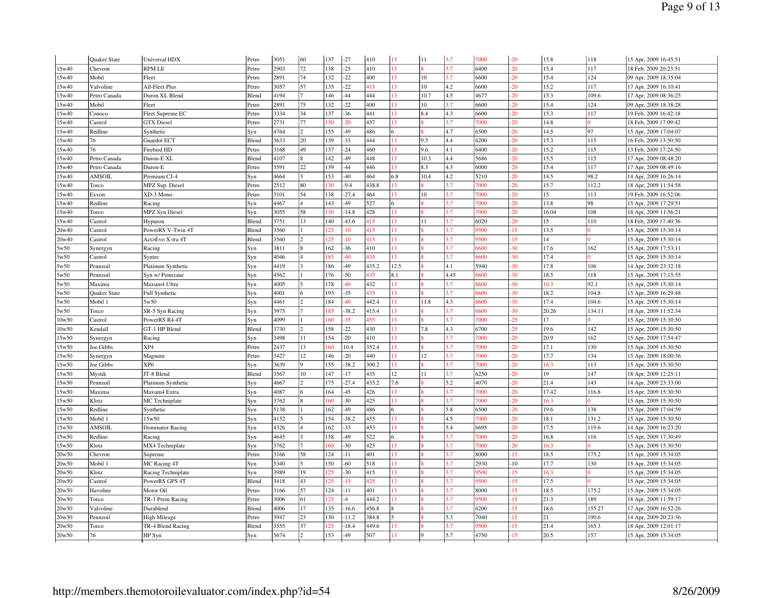|       | Quaker State  | Universal HDX      | Petro | 3051 | 60                       | 137 | $-27$   | 410   | 13           | 11   | 3.7  | 7000 | $-20$ | 15.8  | 118    | 15 Apr, 2009 16:45:51 |
|-------|---------------|--------------------|-------|------|--------------------------|-----|---------|-------|--------------|------|------|------|-------|-------|--------|-----------------------|
| 15w40 | Chevron       | <b>RPM LE</b>      | Petro | 2903 | 72                       | 138 | $-25$   | 410   | 13           |      | 3.7  | 6400 | $-20$ | 15.4  | 117    | 18 Feb, 2009 20:23:51 |
| 15w40 | Mobil         | Fleet              | Petro | 2891 | 74                       | 132 | $-22$   | 400   | 13           | 10   | 3.7  | 6600 | $-20$ | 15.4  | 124    | 09 Apr, 2009 18:35:04 |
| 15w40 | Valvoline     | All-Fleet Plus     | Petro | 3057 | 57                       | 135 | $-22$   | 415   | 13           | 10   | 4.2  | 6600 | $-20$ | 15.2  | 117    | 17 Apr, 2009 16:10:41 |
| 15w40 | Petro Canada  | Duron XL Blend     | Blend | 4194 | 7                        | 146 | $-44$   | 444   | 13           | 10.7 | 4.5  | 4677 | $-20$ | 15.3  | 109.6  | 17 Apr, 2009 08:36:25 |
| 15w40 | Mobil         | Fleet              | Petro | 2891 | 75                       | 132 | $-22$   | 400   | 13           | 10   | 3.7  | 6600 | $-20$ | 15.4  | 124    | 09 Apr, 2009 18:38:28 |
| 15w40 | Conoco        | Fleet Supreme EC   | Petro | 3334 | 34                       | 137 | $-36$   | 441   | 13           | 8.4  | 4.3  | 6600 | $-20$ | 15.3  | 117    | 19 Feb, 2009 16:42:18 |
| 15w40 | Castrol       | <b>GTX</b> Diesel  | Petro | 2731 | 77                       | 130 | 20      | 437   | 13           |      | 3.7  | 7000 | $-20$ | 14.8  |        | 18 Feb, 2009 17:09:42 |
| 15w40 | Redline       | Synthetic          | Syn   | 4764 | $\overline{2}$           | 155 | -49     | 486   | 6            |      | 4.7  | 6500 | $-20$ | 14.5  | 97     | 15 Apr, 2009 17:04:07 |
| 15w40 | 76            | Guardol ECT        | Blend | 3633 | 20                       | 139 | $-33$   | 444   | 13           | 9.5  | 4.4  | 6200 | $-20$ | 15.3  | 115    | 16 Feb, 2009 13:50:50 |
| 15w40 | 76            | Firebird HD        | Petro | 3168 | 49                       | 137 | $-24$   | 460   | 13           | 9.6  | 4.1  | 6400 | $-20$ | 15.2  | 115    | 13 Feb, 2009 17:24:50 |
| 5w40  | Petro Canada  | Duron-E XL         | Blend | 4107 | 8                        | 142 | 49      | 448   | 13           | 10.3 | 4.4  | 5686 | $-20$ | 15.5  | 115    | 17 Apr, 2009 08:48:20 |
| 15w40 | Petro Canada  | Duron-E            | Petro | 3591 | 22                       | 139 | $-44$   | 446   | 13           | 8.3  | 4.3  | 6000 | $-20$ | 15.4  | 117    | 17 Apr, 2009 08:49:16 |
| 15w40 | <b>AMSOIL</b> | Premium CJ-4       | Syn   | 4664 | $\overline{3}$           | 153 | $-40$   | 464   | 6.8          | 10.4 | 4.2  | 5210 | $-20$ | 14.5  | 98.2   | 14 Apr, 2009 16:26:14 |
| 15w40 | Torco         | MPZ Sup. Diesel    | Petro | 2512 | 80                       | 130 | $-9.4$  | 438.8 | 13           |      | 3.7  | 7000 | $-20$ | 15.7  | 112.2  | 18 Apr, 2009 11:54:58 |
| 15w40 | Exxon         | XD-3 Mono          | Petro | 3101 | 54                       | 138 | $-27.4$ | 464   | 13           | 10   | 3.7  | 7000 | $-20$ | 15    | 113    | 19 Feb, 2009 16:52:06 |
| 15w40 | Redline       | Racing             | Syn   | 4467 | $\overline{4}$           | 143 | $-49$   | 527   | 6            |      | 3.7  | 7000 | $-20$ | 13.8  | 98     | 15 Apr, 2009 17:29:51 |
| 15w40 | Torco         | MPZ Syn Diesel     | Syn   | 3055 | 58                       | 130 | $-14.8$ | 428   | 13           |      | 3.7  | 7000 | $-20$ | 16.04 | 108    | 18 Apr, 2009 11:56:21 |
| 15w40 | Castrol       | Hypuron            | Blend | 3751 | 13                       | 140 | $-43.6$ | 415   | 13           | 11   | 3.7  | 6020 | $-20$ | 15    | 110    | 18 Feb, 2009 17:40:36 |
| 20w40 | Castrol       | PowerRS V-Twin 4T  | Blend | 3560 |                          | 125 | 10      | 415   | 13           |      | 3.7  | 9500 | $-15$ | 13.5  |        | 15 Apr, 2009 15:30:14 |
| 20w40 | Castrol       | Act>Evo X-tra 4T   | Blend | 3560 | $\overline{2}$           | 125 | 10      | 415   | 13           |      | 3.7  | 9500 | $-15$ | 14    |        | 15 Apr, 2009 15:30:14 |
| 5w50  | Synergyn      | Racing             | Syn   | 3811 | 8                        | 162 | $-36$   | 410   | 13           |      | 3.7  | 6600 | $-30$ | 17.6  | 162    | 15 Apr, 2009 17:53:11 |
| 5w50  | Castrol       | Syntec             | Syn   | 4046 | $\overline{4}$           | 185 | 40      | 435   | 13           |      | 3.7  | 6600 | $-30$ | 17.4  |        | 15 Apr, 2009 15:30:14 |
| 5w50  | Pennzoil      | Platinum Synthetic | Syn   | 4419 |                          | 186 | -49     | 435.2 | 12.5         |      | 4.1  | 5940 | $-30$ | 17.8  | 106    | 14 Apr, 2009 23:32:18 |
| 5w50  | Pennzoil      | Syn w/ Pennzane    | Syn   | 4562 |                          | 176 | $-50$   | 435   | 8.1          |      | 4.45 | 6600 | $-30$ | 18.5  | 118    | 15 Apr, 2009 17:15:55 |
| 5w50  | Maxima        | Maxum4 Ultra       | Syn   | 4005 | $\overline{\phantom{a}}$ | 178 | 40      | 432   | 13           |      | 3.7  | 6600 | $-30$ | 16.3  | 92.1   | 15 Apr, 2009 15:30:14 |
| 5w50  | Quaker State  | Full Synthetic     | Syn   | 4001 | 6                        | 193 | $-35$   | 435   | 13           |      | 3.7  | 6600 | $-30$ | 18.2  | 104.8  | 15 Apr, 2009 16:29:48 |
| 5w50  | Mobil 1       | 5w50               | Syn   | 4461 | $\overline{2}$           | 184 | 40      | 442.4 | 13           | 11.8 | 4.3  | 6600 | $-30$ | 17.4  | 104.6  | 15 Apr, 2009 15:30:14 |
| 5w50  | Torco         | SR-5 Syn Racing    | Syn   | 3975 |                          | 185 | $-38.2$ | 415.4 | 13           |      | 3.7  | 6600 | $-30$ | 20.26 | 134.11 | 18 Apr, 2009 11:52:34 |
| 10w50 | Castrol       | PowerRS R4 4T      | Syn   | 4099 |                          | 160 | 35      | 455   | 13           |      | 3.7  | 7000 | $-25$ | 17    |        | 15 Apr, 2009 15:30:50 |
| 10w50 | Kendall       | GT-1 HP Blend      | Blend | 3730 | $\overline{2}$           | 158 | $-22$   | 430   | 13           | 7.8  | 4.3  | 6700 | $-25$ | 19.6  | 142    | 15 Apr, 2009 15:30:50 |
| 15w50 | Synergyn      | Racing             | Syn   | 3498 | 11                       | 154 | $-20$   | 410   | 13           |      | 3.7  | 7000 | $-20$ | 20.9  | 162    | 15 Apr, 2009 17:54:47 |
| 15w50 | Joe Gibbs     | XP4                | Petro | 2437 | 13                       | 160 | 10.4    | 352.4 | 13           |      | 3.7  | 7000 | $-20$ | 17.1  | 130    | 15 Apr, 2009 15:30:50 |
| 15w50 | Synergyn      | Magnum             | Petro | 3427 | 12                       | 146 | $-20$   | 440   | 13           | 12   | 3.7  | 7000 | $-20$ | 17.7  | 134    | 15 Apr, 2009 18:00:36 |
| 5w50  | Joe Gibbs     | XP <sub>6</sub>    | Syn   | 3639 | $\overline{9}$           | 155 | $-38.2$ | 300.2 | 13           |      | 3.7  | 7000 | $-20$ | 16.3  | 113    | 15 Apr, 2009 15:30:50 |
| 15w50 | Mystik        | JT-8 Blend         | Blend | 3567 | 10                       | 147 | $-17$   | 435   | 12           | 11   | 3.7  | 6250 | $-20$ | 19    | 147    | 18 Apr, 2009 12:25:11 |
| 15w50 | Pennzoil      | Platinum Synthetic | Syn   | 4667 | $\overline{2}$           | 175 | $-27.4$ | 435.2 | 7.6          |      | 5.2  | 4070 | $-20$ | 21.4  | 143    | 14 Apr, 2009 23:33:00 |
| 15w50 | Maxima        | Maxum4 Extra       | Syn   | 4087 | 6                        | 164 | $-45$   | 426   | 13           |      | 3.7  | 7000 | $-20$ | 17.42 | 116.8  | 15 Apr, 2009 15:30:50 |
| 5w50  | Klotz         | MC Techniplate     | Syn   | 3762 |                          | 160 | $-30$   | 425   | 13           |      | 3.7  | 7000 | $-20$ | 16.3  |        | 15 Apr, 2009 15:30:50 |
| 5w50  | Redline       | Synthetic          | Syn   | 5138 |                          | 162 | -49     | 486   | 6            |      | 5.8  | 6500 | $-20$ | 19.6  | 138    | 15 Apr, 2009 17:04:59 |
| 15w50 | Mobil 1       | 15w50              | Syn   | 4152 | l5                       | 154 | $-38.2$ | 455   | 13           |      | 4.5  | 7000 | $-20$ | 18.1  | 131.2  | 15 Apr, 2009 15:30:50 |
| 15w50 | AMSOIL        | Dominator Racing   | Syn   | 4326 | $\overline{4}$           | 162 | $-33$   | 453   | 13           |      | 5.4  | 6695 | $-20$ | 17.5  | 119.6  | 14 Apr, 2009 16:23:20 |
| 15w50 | Redline       | Racing             | Syn   | 4645 |                          | 158 | $-49$   | 522   | 6            |      | 3.7  | 7000 | $-20$ | 16.8  | 116    | 15 Apr, 2009 17:30:49 |
| 15w50 | Klotz         | MX4 Techniplate    | Syn   | 3762 |                          | 160 | 30      | 425   | 13           |      | 3.7  | 7000 | $-20$ | 16.3  |        | 15 Apr, 2009 15:30:50 |
| 20w50 | Chevron       | Supreme            | Petro | 3166 | 58                       | 124 | $-11$   | 401   | 13           |      | 3.7  | 8000 | $-15$ | 18.5  | 175.2  | 15 Apr, 2009 15:34:05 |
| 20w50 | Mobil 1       | MC Racing 4T       | Syn   | 5340 | $\overline{\phantom{a}}$ | 150 | $-60$   | 518   | 13           |      | 3.7  | 2930 | $-10$ | 17.7  | 130    | 15 Apr, 2009 15:34:05 |
| 20w50 | Klotz         | Racing Techniplate | Syn   | 3989 | 19                       | 125 | $-30$   | 415   | 13           |      | 3.7  | 9500 | $-15$ | 16.3  |        | 15 Apr, 2009 15:34:05 |
| 20w50 | Castrol       | PowerRS GPS 4T     | Blend | 3418 | 43                       | 125 | 15      | 425   | 13           |      | 3.7  | 9500 | $-15$ | 17.5  |        | 15 Apr, 2009 15:34:05 |
| 20w50 | Havoline      | Motor Oil          | Petro | 3166 | 57                       | 124 | $-11$   | 401   | 13           |      | 3.7  | 8000 | $-15$ | 18.5  | 175.2  | 15 Apr, 2009 15:34:05 |
| 20w50 | Torco         | TR-1 Prem Racing   | Petro | 3006 | 61                       | 125 | $-4$    | 444.2 | 13           |      | 3.7  | 9500 | $-15$ | 21.3  | 189    | 18 Apr, 2009 11:59:17 |
| 20w50 | Valvoline     | Durablend          | Blend | 4006 | 17                       | 135 | $-16.6$ | 456.8 | $\mathbf{8}$ |      | 3.7  | 6200 | $-15$ | 18.6  | 155.27 | 17 Apr, 2009 16:52:26 |
| 20w50 | Pennzoil      | High Mileage       | Petro | 3947 | 23                       | 130 | $-11.2$ | 384.8 |              |      | 5.3  | 7040 | $-15$ | 21    | 190.6  | 14 Apr, 2009 20:23:36 |
| 20w50 | Torco         | TR-4 Blend Racing  | Blend | 3555 | 37                       | 125 | $-18.4$ | 449.6 | 13           |      | 3.7  | 9500 | $-15$ | 21.4  | 165.3  | 18 Apr, 2009 12:01:17 |
| 20w50 | 76            | HP Syn             | Syn   | 5674 |                          | 153 | 49      | 507   | 13           |      | 5.7  | 4750 | $-15$ | 20.5  | 157    | 15 Apr, 2009 15:34:05 |
|       |               |                    |       |      |                          |     |         |       |              |      |      |      |       |       |        |                       |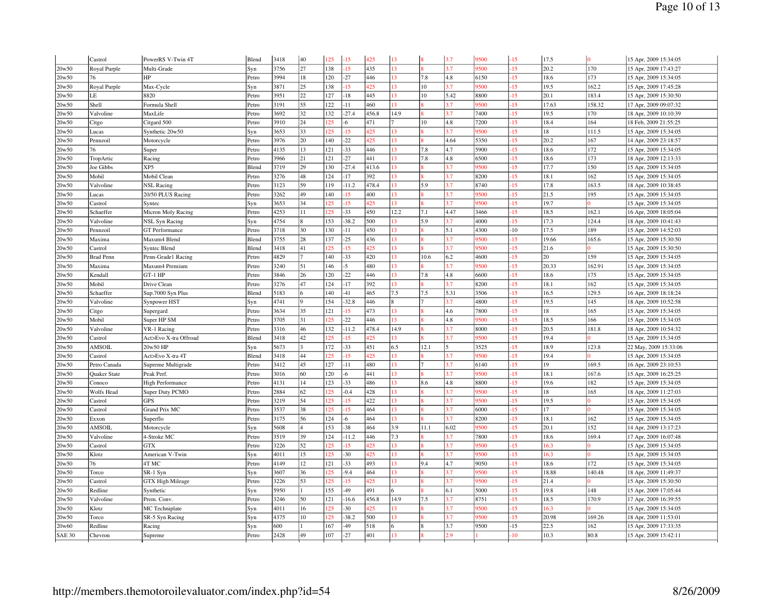|               | Castrol             | PowerRS V-Twin 4T       | Blend | 3418 | 40                      | 125 | $-15$           | 425   | 13     |      | 3.7  | 9500 | $-15$ | 17.5  | $\overline{0}$ | 15 Apr, 2009 15:34:05 |
|---------------|---------------------|-------------------------|-------|------|-------------------------|-----|-----------------|-------|--------|------|------|------|-------|-------|----------------|-----------------------|
| 20w50         | Royal Purple        | Multi-Grade             | Syn   | 3756 | 27                      | 138 | 15              | 435   | 13     |      | 3.7  | 9500 | $-15$ | 20.2  | 170            | 15 Apr, 2009 17:43:27 |
| 20w50         | 76                  | HP                      | Petro | 3994 | 18                      | 120 | $-27$           | 446   | 13     | 7.8  | 4.8  | 6150 | $-15$ | 18.6  | 173            | 15 Apr, 2009 15:34:05 |
| 20w50         | Royal Purple        | Max-Cycle               | Syn   | 3871 | 25                      | 138 | $-15$           | 425   | 13     | 10   | 3.7  | 9500 | $-15$ | 19.5  | 162.2          | 15 Apr, 2009 17:45:28 |
| 20w50         | LE                  | 8820                    | Petro | 3951 | 22                      | 127 | $-18$           | 445   | 13     | 10   | 5.42 | 8800 | $-15$ | 20.1  | 183.4          | 15 Apr, 2009 15:30:50 |
| 20w50         | Shell               | Formula Shell           | Petro | 3191 | 55                      | 122 | $-11$           | 460   | 13     |      | 3.7  | 9500 | $-15$ | 17.63 | 158.32         | 17 Apr, 2009 09:07:32 |
| 20w50         | Valvoline           | MaxLife                 | Petro | 3692 | 32                      | 132 | $-27.4$         | 456.8 | 14.9   |      | 3.7  | 7400 | $-15$ | 19.5  | 170            | 18 Apr, 2009 10:10:39 |
| 20w50         | Citgo               | Citgard 500             | Petro | 3910 | 24                      | 125 | -6              | 471   | $\tau$ | 10   | 4.8  | 7200 | $-15$ | 18.4  | 164            | 18 Feb, 2009 21:55:25 |
| 20w50         | Lucas               | Synthetic 20w50         | Syn   | 3653 | 33                      | 25  | 15              | 425   | 13     |      | 3.7  | 9500 | $-15$ | 18    | 111.5          | 15 Apr, 2009 15:34:05 |
| 20w50         | Pennzoil            | Motorcycle              | Petro | 3976 | 20                      | 140 | $-22$           | 425   | 13     |      | 4.64 | 5350 | $-15$ | 20.2  | 167            | 14 Apr, 2009 23:18:57 |
| 20w50         | 76                  | Super                   | Petro | 4135 | 13                      | 121 | $-33$           | 446   | 13     | 7.8  | 4.7  | 5900 | $-15$ | 18.6  | 172            | 15 Apr, 2009 15:34:05 |
| 20w50         | TropArtic           | Racing                  | Petro | 3966 | 21                      | 121 | $-27$           | 441   | 13     | 7.8  | 4.8  | 6500 | $-15$ | 18.6  | 173            | 18 Apr, 2009 12:13:33 |
| 20w50         | Joe Gibbs           | XP5                     | Blend | 3719 | 29                      | 130 | $-27.4$         | 413.6 | 13     |      | 3.7  | 9500 | $-15$ | 17.7  | 150            | 15 Apr, 2009 15:34:05 |
| 20w50         | Mobil               | Mobil Clean             | Petro | 3276 | 48                      | 124 | 17              | 392   | 13     |      | 3.7  | 8200 | $-15$ | 18.1  | 162            | 15 Apr, 2009 15:34:05 |
| 20w50         | Valvoline           | <b>NSL Racing</b>       | Petro | 3123 | 59                      | 119 | $-11.2$         | 478.4 | 13     | 5.9  | 3.7  | 8740 | $-15$ | 17.8  | 163.5          | 18 Apr, 2009 10:38:45 |
| 20w50         | Lucas               | 20/50 PLUS Racing       | Petro | 3262 | 49                      | 140 | 15              | 400   | 13     |      | 3.7  | 9500 | $-15$ | 21.5  | 195            | 15 Apr, 2009 15:34:05 |
| 20w50         | Castrol             | Syntec                  | Syn   | 3653 | 34                      | 25  | 15              | 125   | 13     |      | 3.7  | 9500 | $-15$ | 19.7  | 0              | 15 Apr, 2009 15:34:05 |
| 20w50         | Schaeffer           | Micron Moly Racing      | Petro | 4253 | 11                      | 125 | $-33$           | 450   | 12.2   | 7.1  | 4.47 | 3466 | $-15$ | 18.5  | 162.1          | 16 Apr, 2009 18:05:04 |
| 20w50         | Valvoline           | <b>NSL Syn Racing</b>   | Syn   | 4754 | $\overline{\mathbf{g}}$ | 153 | $-38.2$         | 500   | 13     | 5.9  | 3.7  | 4000 | $-15$ | 17.3  | 124.4          | 18 Apr, 2009 10:41:43 |
| 20w50         | Pennzoil            | <b>GT</b> Performance   | Petro | 3718 | 30                      | 130 | $-11$           | 450   | 13     |      | 5.1  | 4300 | $-10$ | 17.5  | 189            | 15 Apr, 2009 14:52:03 |
| 20w50         | Maxima              | Maxum4 Blend            | Blend | 3755 | 28                      | 137 | $-25$           | 436   | 13     |      | 3.7  | 9500 | $-15$ | 19.66 | 165.6          | 15 Apr, 2009 15:30:50 |
| 20w50         | Castrol             | <b>Syntec Blend</b>     | Blend | 3418 | 41                      | 25  | 15              | 125   | 13     |      | 3.7  | 9500 | $-15$ | 21.6  |                | 15 Apr, 2009 15:30:50 |
| 20w50         | <b>Brad Penn</b>    | Penn-Grade1 Racing      | Petro | 4829 | $\overline{7}$          | 140 | $-33$           | 420   | 13     | 10.6 | 6.2  | 4600 | $-15$ | 20    | 159            | 15 Apr, 2009 15:34:05 |
| 20w50         | Maxima              | Maxum4 Premium          | Petro | 3240 | 51                      | 146 | $-5$            | 480   | 13     |      | 3.7  | 9500 | $-15$ | 20.33 | 162.91         | 15 Apr, 2009 15:34:05 |
| 20w50         | Kendall             | GT-1 HP                 | Petro | 3846 | 26                      | 120 | $-22$           | 446   | 13     | 7.8  | 4.8  | 6600 | $-15$ | 18.6  | 175            | 15 Apr, 2009 15:34:05 |
| 20w50         | Mobil               | Drive Clean             | Petro | 3276 | 47                      | 124 | $-17$           | 392   | 13     |      | 3.7  | 8200 | $-15$ | 18.1  | 162            | 15 Apr, 2009 15:34:05 |
| 20w50         | Schaeffer           | Sup.7000 Syn Plus       | Blend | 5183 | 6                       | 140 | $-41$           | 465   | 7.5    | 7.5  | 5.31 | 3506 | $-15$ | 16.5  | 129.5          | 16 Apr, 2009 18:18:24 |
| 20w50         | Valvoline           | Synpower HST            | Syn   | 4741 | <b>Q</b>                | 154 | $-32.8$         | 446   | 8      |      | 3.7  | 4800 | $-15$ | 19.5  | 145            | 18 Apr, 2009 10:52:58 |
| 20w50         | Citgo               | Supergard               | Petro | 3634 | 35                      | 121 | 15 <sup>2</sup> | 473   | 13     |      | 4.6  | 7800 | $-15$ | 18    | 165            | 15 Apr, 2009 15:34:05 |
| 20w50         | Mobil               | Super HP SM             | Petro | 3705 | 31                      | 125 | $-22$           | 446   | 13     |      | 4.8  | 9500 | $-15$ | 18.5  | 166            | 15 Apr, 2009 15:34:05 |
| 20w50         | Valvoline           | VR-1 Racing             | Petro | 3316 | 46                      | 132 | $-11.2$         | 478.4 | 14.9   |      | 3.7  | 8000 | $-15$ | 20.5  | 181.8          | 18 Apr, 2009 10:54:32 |
| 20w50         | Castrol             | Act>Evo X-tra Offroad   | Blend | 3418 | 42                      | 125 | 15              | 425   | 13     |      | 3.7  | 9500 | $-15$ | 19.4  | $\Omega$       | 15 Apr, 2009 15:34:05 |
| 20w50         | AMSOIL              | 20w50 HP                | Syn   | 5673 |                         | 172 | $-33$           | 451   | 6.5    | 12.1 |      | 3525 | $-15$ | 18.9  | 123.8          | 22 May, 2009 15:33:06 |
| 20w50         | Castrol             | Act>Evo X-tra 4T        | Blend | 3418 | 44                      | 125 | 15              | 425   | 13     |      | 3.7  | 9500 | $-15$ | 19.4  |                | 15 Apr, 2009 15:34:05 |
| 20w50         | Petro Canada        | Supreme Multigrade      | Petro | 3412 | 45                      | 127 | $-11$           | 480   | 13     |      | 3.7  | 6140 | $-15$ | 19    | 169.5          | 16 Apr, 2009 23:10:53 |
| 20w50         | <b>Quaker State</b> | Peak Perf.              | Petro | 3016 | 60                      | 120 | $-6$            | 441   | 13     |      | 3.7  | 9500 | $-15$ | 18.1  | 167.6          | 15 Apr, 2009 16:25:25 |
| 20w50         | Conoco              | <b>High Performance</b> | Petro | 4131 | 14                      | 123 | $-33$           | 486   | 13     | 8.6  | 4.8  | 8800 | $-15$ | 19.6  | 182            | 15 Apr, 2009 15:34:05 |
| 20w50         | Wolfs Head          | Super Duty PCMO         | Petro | 2884 | 62                      | 125 | $-0.4$          | 428   | 13     |      | 3.7  | 9500 | $-15$ | 18    | 165            | 18 Apr, 2009 11:27:03 |
| 20w50         | Castrol             | <b>GPS</b>              | Petro | 3219 | 54                      | 125 | 15              | 422   | 13     |      | 3.7  | 9500 | $-15$ | 19.5  | lo.            | 15 Apr, 2009 15:34:05 |
| 20w50         | Castrol             | Grand Prix MC           | Petro | 3537 | 38                      | 125 | $-15$           | 464   | 13     |      | 3.7  | 6000 | $-15$ | 17    | $\Omega$       | 15 Apr, 2009 15:34:05 |
| 20w50         | Exxon               | Superflo                | Petro | 3175 | 56                      | 124 | $-6$            | 464   | 13     |      | 3.7  | 8200 | $-15$ | 18.1  | 162            | 15 Apr, 2009 15:34:05 |
| 20w50         | AMSOIL              | Motorcycle              | Syn   | 5608 | $\overline{\mathbf{A}}$ | 153 | $-38$           | 464   | 3.9    | 11.1 | 6.02 | 9500 | $-15$ | 20.1  | 152            | 14 Apr, 2009 13:17:23 |
| 20w50         | Valvoline           | 4-Stroke MC             | Petro | 3519 | 39                      | 124 | $-11.2$         | 446   | 7.3    |      | 3.7  | 7800 | $-15$ | 18.6  | 169.4          | 17 Apr, 2009 16:07:48 |
| 20w50         | Castrol             | <b>GTX</b>              | Petro | 3226 | 52                      | 25  | 15              | 425   | 13     |      | 3.7  | 9500 | $-15$ | 16.3  | $\Omega$       | 15 Apr, 2009 15:34:05 |
| 20w50         | Klotz               | American V-Twin         | Syn   | 4011 | 15                      | 125 | $-30$           | 425   | 13     |      | 3.7  | 9500 | $-15$ | 16.3  |                | 15 Apr, 2009 15:34:05 |
| 20w50         | 76                  | 4T MC                   | Petro | 4149 | 12                      | 121 | $-33$           | 493   | 13     | 9.4  | 4.7  | 9050 | $-15$ | 18.6  | 172            | 15 Apr, 2009 15:34:05 |
| 20w50         | Torco               | SR-1 Syn                | Syn   | 3607 | 36                      | 125 | $-9.4$          | 464   | 13     |      | 3.7  | 9500 | $-15$ | 18.88 | 140.48         | 18 Apr, 2009 11:49:37 |
| 20w50         | Castrol             | <b>GTX High Mileage</b> | Petro | 3226 | 53                      | 125 | 15              | 425   | 13     |      | 3.7  | 9500 | $-15$ | 21.4  |                | 15 Apr, 2009 15:30:50 |
| 20w50         | Redline             | Synthetic               | Syn   | 5950 |                         | 155 | -49             | 491   | 6      |      | 6.1  | 5000 | $-15$ | 19.8  | 148            | 15 Apr, 2009 17:05:44 |
| 20w50         | Valvoline           | Prem. Conv.             | Petro | 3246 | 50                      | 121 | $-16.6$         | 456.8 | 14.9   | 7.5  | 3.7  | 8751 | $-15$ | 18.5  | 170.9          | 17 Apr, 2009 16:39:55 |
| 20w50         | Klotz               | MC Techniplate          | Syn   | 4011 | 16                      | 125 | $-30$           | 425   | 13     |      | 3.7  | 9500 | $-15$ | 16.3  |                | 15 Apr, 2009 15:34:05 |
| 20w50         | Torco               | SR-5 Syn Racing         | Syn   | 4375 | 10                      | 25  | 38.2            | 500   | 13     |      | 3.7  | 9500 | $-15$ | 20.98 | 169.26         | 18 Apr, 2009 11:53:01 |
| 20w60         | Redline             | Racing                  | Syn   | 600  |                         | 167 | 49              | 518   | 6      |      | 3.7  | 9500 | $-15$ | 22.5  | 162            | 15 Apr, 2009 17:33:35 |
| <b>SAE 30</b> | Chevron             | Supreme                 | Petro | 2428 | 49                      | 107 | $-27$           | 401   | 13     |      | 2.9  |      | $-10$ | 10.3  | 80.8           | 15 Apr, 2009 15:42:11 |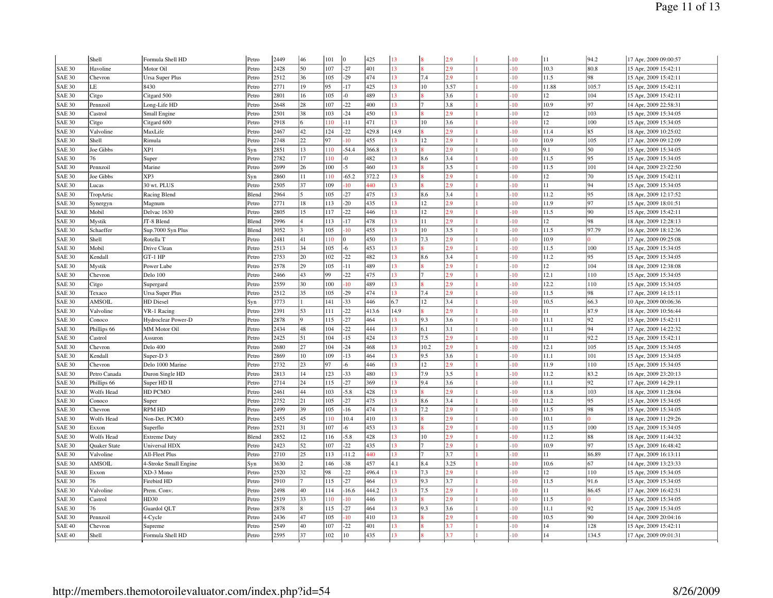|               | Shell         | Formula Shell HD       | Petro | 2449 | 46 | 101 | $\overline{0}$ | 425   | 13   |                | 2.9  | $-10$            | 11    | 94.2  | 17 Apr, 2009 09:00:57 |
|---------------|---------------|------------------------|-------|------|----|-----|----------------|-------|------|----------------|------|------------------|-------|-------|-----------------------|
| <b>SAE 30</b> | Havoline      | Motor Oil              | Petro | 2428 | 50 | 107 | $-27$          | 401   | 13   |                | 2.9  | $-10^{-1}$       | 10.3  | 80.8  | 15 Apr, 2009 15:42:11 |
| <b>SAE 30</b> | Chevron       | Ursa Super Plus        | Petro | 2512 | 36 | 105 | $-29$          | 474   | 13   | 7.4            | 2.9  | -10              | 11.5  | 98    | 15 Apr, 2009 15:42:11 |
| SAE 30        | LE            | 8430                   | Petro | 2771 | 19 | 95  | $-17$          | 425   | 13   | 10             | 3.57 | $-10^{-1}$       | 11.88 | 105.7 | 15 Apr, 2009 15:42:11 |
| <b>SAE 30</b> | Citgo         | Citgard 500            | Petro | 2801 | 16 | 105 | $\overline{0}$ | 489   | 13   |                | 3.6  | 10               | 12    | 104   | 15 Apr, 2009 15:42:11 |
| <b>SAE 30</b> | Pennzoil      | Long-Life HD           | Petro | 2648 | 28 | 107 | $-22$          | 400   | 13   | $\overline{7}$ | 3.8  | $-10^{-1}$       | 10.9  | 97    | 14 Apr, 2009 22:58:31 |
| <b>SAE 30</b> | Castrol       | Small Engine           | Petro | 2501 | 38 | 103 | $-24$          | 450   | 13   |                | 2.9  | $\overline{10}$  | 12    | 103   | 15 Apr, 2009 15:34:05 |
| <b>SAE 30</b> | Citgo         | Citgard 600            | Petro | 2918 |    | 10  | $-11$          | 471   | 13   | 10             | 3.6  | 10 <sup>10</sup> | 12    | 100   | 15 Apr, 2009 15:34:05 |
| <b>SAE 30</b> | Valvoline     | MaxLife                | Petro | 2467 | 42 | 124 | $-22$          | 429.8 | 14.9 |                | 2.9  | 10               | 11.4  | 85    | 18 Apr, 2009 10:25:02 |
| <b>SAE 30</b> | Shell         | Rimula                 | Petro | 2748 | 22 | 97  | $-10$          | 455   | 13   | 12             | 2.9  | $-10^{-1}$       | 10.9  | 105   | 17 Apr, 2009 09:12:09 |
| <b>SAE 30</b> | Joe Gibbs     | XP1                    | Syn   | 2851 | 13 | 10  | $-54.4$        | 366.8 | 13   |                | 2.9  | 10               | 9.1   | 50    | 15 Apr, 2009 15:34:05 |
| <b>SAE 30</b> | 76            | Super                  | Petro | 2782 | 17 | 10  | -0             | 482   | 13   | 8.6            | 3.4  | $-10^{-1}$       | 11.5  | 95    | 15 Apr, 2009 15:34:05 |
| <b>SAE 30</b> | Pennzoil      | Marine                 | Petro | 2699 | 26 | 100 | $-5$           | 460   | 13   |                | 3.5  | 10               | 11.5  | 101   | 14 Apr, 2009 23:22:50 |
| <b>SAE 30</b> | Joe Gibbs     | XP3                    | Syn   | 2860 | 11 | 110 | $-65.2$        | 372.2 | 13   |                | 2.9  | $-10^{-1}$       | 12    | 70    | 15 Apr, 2009 15:42:11 |
| <b>SAE 30</b> | Lucas         | 30 wt. PLUS            | Petro | 2505 | 37 | 109 | $-10$          | 440   | 13   |                | 2.9  | $\overline{10}$  | 11    | 94    | 15 Apr, 2009 15:34:05 |
| <b>SAE 30</b> | TropArtic     | Racing Blend           | Blend | 2964 |    | 105 | $-27$          | 475   | 13   | 8.6            | 3.4  | $-10^{-1}$       | 11.2  | 95    | 18 Apr, 2009 12:17:52 |
| <b>SAE 30</b> | Synergyn      | Magnum                 | Petro | 2771 | 18 | 113 | $-20$          | 435   | 13   | 12             | 2.9  | 10               | 11.9  | 97    | 15 Apr, 2009 18:01:51 |
| <b>SAE 30</b> | Mobil         | Delvac 1630            | Petro | 2805 | 15 | 117 | $-22$          | 446   | 13   | 12             | 2.9  | $-10^{-1}$       | 11.5  | 90    | 15 Apr, 2009 15:42:11 |
| <b>SAE 30</b> | Mystik        | JT-8 Blend             | Blend | 2996 |    | 113 | $-17$          | 478   | 13   | 11             | 2.9  | 10               | 12    | 98    | 18 Apr, 2009 12:28:13 |
| <b>SAE 30</b> | Schaeffer     | Sup.7000 Syn Plus      | Blend | 3052 |    | 105 | $-10^{-1}$     | 455   | 13   | 10             | 3.5  | 10 <sup>10</sup> | 11.5  | 97.79 | 16 Apr, 2009 18:12:36 |
| <b>SAE 30</b> | Shell         | Rotella T              | Petro | 2481 | 41 | 10  | 0              | 450   | 13   | 7.3            | 2.9  | 10               | 10.9  |       | 17 Apr, 2009 09:25:08 |
| <b>SAE 30</b> | Mobil         | Drive Clean            | Petro | 2513 | 34 | 105 | -6             | 453   | 13   |                | 2.9  | 10 <sup>10</sup> | 11.5  | 100   | 15 Apr, 2009 15:34:05 |
| <b>SAE 30</b> | Kendall       | GT-1 HP                | Petro | 2753 | 20 | 102 | $-22$          | 482   | 13   | 8.6            | 3.4  | $\overline{10}$  | 11.2  | 95    | 15 Apr, 2009 15:34:05 |
| <b>SAE 30</b> | Mystik        | Power Lube             | Petro | 2578 | 29 | 105 | $-11$          | 489   | 13   |                | 2.9  | 10 <sup>10</sup> | 12    | 104   | 18 Apr, 2009 12:38:08 |
| <b>SAE 30</b> | Chevron       | Delo 100               | Petro | 2466 | 43 | 99  | $-22$          | 475   | 13   |                | 2.9  | 10               | 12.1  | 110   | 15 Apr, 2009 15:34:05 |
| <b>SAE 30</b> | Citgo         | Supergard              | Petro | 2559 | 30 | 100 | $-10$          | 489   | 13   |                | 2.9  | $-10$            | 12.2  | 110   | 15 Apr, 2009 15:34:05 |
| <b>SAE 30</b> | Texaco        | <b>Ursa Super Plus</b> | Petro | 2512 | 35 | 105 | $-29$          | 474   | 13   | 7.4            | 2.9  | 10               | 11.5  | 98    | 17 Apr, 2009 14:15:11 |
| <b>SAE 30</b> | AMSOIL        | HD Diesel              | Syn   | 3773 |    | 141 | $-33$          | 446   | 6.7  | 12             | 3.4  | 10 <sup>10</sup> | 10.5  | 66.3  | 10 Apr, 2009 00:06:36 |
| <b>SAE 30</b> | Valvoline     | VR-1 Racing            | Petro | 2391 | 53 | 111 | $-22$          | 413.6 | 14.9 |                | 2.9  | 10               | 11    | 87.9  | 18 Apr, 2009 10:56:44 |
| <b>SAE 30</b> | Conoco        | Hydroclear Power-D     | Petro | 2878 |    | 115 | $-27$          | 464   | 13   | 9.3            | 3.6  | 10 <sup>10</sup> | 11.1  | 92    | 15 Apr, 2009 15:42:11 |
| <b>SAE 30</b> | Phillips 66   | <b>MM</b> Motor Oil    | Petro | 2434 | 48 | 104 | $-22$          | 444   | 13   | 6.1            | 3.1  | 10 <sup>10</sup> | 11.1  | 94    | 17 Apr, 2009 14:22:32 |
| <b>SAE 30</b> | Castrol       | Assuron                | Petro | 2425 | 51 | 104 | $-15$          | 424   | 13   | 7.5            | 2.9  | 10 <sup>10</sup> | 11    | 92.2  | 15 Apr, 2009 15:42:11 |
| <b>SAE 30</b> | Chevron       | Delo 400               | Petro | 2680 | 27 | 104 | $-24$          | 468   | 13   | 10.2           | 2.9  | 10               | 12.1  | 105   | 15 Apr, 2009 15:34:05 |
| <b>SAE 30</b> | Kendall       | Super-D <sub>3</sub>   | Petro | 2869 | 10 | 109 | $-13$          | 464   | 13   | 9.5            | 3.6  | $-10$            | 11.1  | 101   | 15 Apr, 2009 15:34:05 |
| <b>SAE 30</b> | Chevron       | Delo 1000 Marine       | Petro | 2732 | 23 | 97  | $-6$           | 446   | 13   | 12             | 2.9  | 10 <sup>10</sup> | 11.9  | 110   | 15 Apr, 2009 15:34:05 |
| <b>SAE 30</b> | Petro Canada  | Duron Single HD        | Petro | 2813 | 14 | 123 | $-33$          | 480   | 13   | 7.9            | 3.5  | 10 <sup>10</sup> | 11.2  | 83.2  | 16 Apr, 2009 23:20:13 |
| <b>SAE 30</b> | Phillips 66   | Super HD II            | Petro | 2714 | 24 | 115 | $-27$          | 369   | 13   | 9.4            | 3.6  | 10               | 11.1  | 92    | 17 Apr, 2009 14:29:11 |
| <b>SAE 30</b> | Wolfs Head    | HD PCMO                | Petro | 2461 | 44 | 103 | $-5.8$         | 428   | 13   |                | 2.9  | 10 <sup>10</sup> | 11.8  | 103   | 18 Apr, 2009 11:28:04 |
| <b>SAE 30</b> | Conoco        | Super                  | Petro | 2752 | 21 | 105 | $-27$          | 475   | 13   | 8.6            | 3.4  | 10               | 11.2  | 95    | 15 Apr, 2009 15:34:05 |
| <b>SAE 30</b> | Chevron       | <b>RPM HD</b>          | Petro | 2499 | 39 | 105 | $-16$          | 474   | 13   | 7.2            | 2.9  | 10               | 11.5  | 98    | 15 Apr, 2009 15:34:05 |
| <b>SAE 30</b> | Wolfs Head    | Non-Det. PCMO          | Petro | 2455 | 45 | 110 | 10.4           | 410   | 13   |                | 2.9  | 10               | 10.1  |       | 18 Apr, 2009 11:29:26 |
| <b>SAE 30</b> | Exxon         | Superflo               | Petro | 2521 | 31 | 107 | -6             | 453   | 13   |                | 2.9  | $\overline{10}$  | 11.5  | 100   | 15 Apr, 2009 15:34:05 |
| <b>SAE 30</b> | Wolfs Head    | <b>Extreme Duty</b>    | Blend | 2852 | 12 | 116 | $-5.8$         | 428   | 13   | 10             | 2.9  | 10               | 11.2  | 88    | 18 Apr, 2009 11:44:32 |
| <b>SAE 30</b> | Quaker State  | Universal HDX          | Petro | 2423 | 52 | 107 | $-22$          | 435   | 13   |                | 2.9  | 10 <sup>10</sup> | 10.9  | 97    | 15 Apr, 2009 16:48:42 |
| <b>SAE 30</b> | Valvoline     | All-Fleet Plus         | Petro | 2710 | 25 | 113 | $-11.2$        | 440   | 13   |                | 3.7  | 10               | 11    | 86.89 | 17 Apr, 2009 16:13:11 |
| <b>SAE 30</b> | <b>AMSOIL</b> | 4-Stroke Small Engine  | Syn   | 3630 |    | 146 | $-38$          | 457   | 4.1  | 8.4            | 3.25 | $-10$            | 10.6  | 67    | 14 Apr, 2009 13:23:33 |
| <b>SAE 30</b> | Exxon         | XD-3 Mono              | Petro | 2520 | 32 | 98  | $-22$          | 496.4 | 13   | 7.3            | 2.9  | $\overline{10}$  | 12    | 110   | 15 Apr, 2009 15:34:05 |
| <b>SAE 30</b> | 76            | Firebird HD            | Petro | 2910 |    | 115 | $-27$          | 464   | 13   | 9.3            | 3.7  | 10               | 11.5  | 91.6  | 15 Apr, 2009 15:34:05 |
| <b>SAE 30</b> | Valvoline     | Prem. Conv.            | Petro | 2498 | 40 | 114 | $-16.6$        | 444.2 | 13   | 7.5            | 2.9  | 10               | 11    | 86.45 | 17 Apr, 2009 16:42:51 |
| <b>SAE 30</b> | Castrol       | HD30                   | Petro | 2519 | 33 | 110 | $-10^{-1}$     | 446   | 13   |                | 2.9  | 10 <sup>10</sup> | 11.5  |       | 15 Apr, 2009 15:34:05 |
| <b>SAE 30</b> | 76            | Guardol QLT            | Petro | 2878 |    | 115 | $-27$          | 464   | 13   | 9.3            | 3.6  | 10               | 11.1  | 92    | 15 Apr, 2009 15:34:05 |
| <b>SAE 30</b> | Pennzoil      | 4-Cycle                | Petro | 2436 | 47 | 105 | $-10^{-1}$     | 410   | 13   |                | 2.9  | 10               | 10.5  | 90    | 14 Apr, 2009 20:04:16 |
| <b>SAE 40</b> | Chevron       | Supreme                | Petro | 2549 | 40 | 107 | $-22$          | 401   | 13   |                | 3.7  | 10               | 14    | 128   | 15 Apr, 2009 15:42:11 |
| <b>SAE 40</b> | Shell         | Formula Shell HD       | Petro | 2595 | 37 | 102 | 10             | 435   | 13   |                | 3.7  | 10 <sup>10</sup> | 14    | 134.5 | 17 Apr, 2009 09:01:31 |
|               |               |                        |       |      |    |     |                |       |      |                |      |                  |       |       |                       |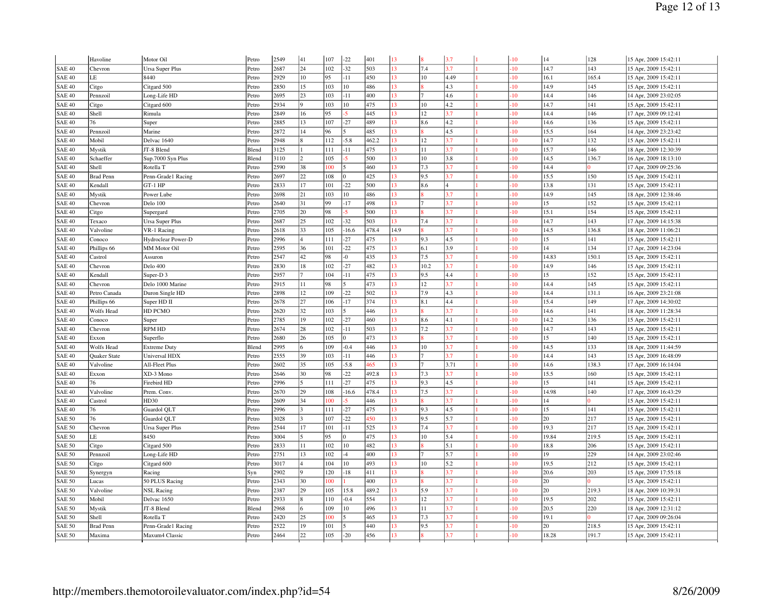|               | Havoline            | Motor Oil              | Petro | 2549 | 41               | 107 | $-22$                    | 401   | 13   | ١e   | 3.7                     | $-10$            | 14    | 128   | 15 Apr, 2009 15:42:11 |
|---------------|---------------------|------------------------|-------|------|------------------|-----|--------------------------|-------|------|------|-------------------------|------------------|-------|-------|-----------------------|
| <b>SAE 40</b> | Chevron             | <b>Ursa Super Plus</b> | Petro | 2687 | 24               | 102 | $-32$                    | 503   | 13   | 7.4  | 3.7                     | $-10^{-1}$       | 14.7  | 143   | 15 Apr, 2009 15:42:11 |
| <b>SAE 40</b> | LE                  | 8440                   | Petro | 2929 | 10 <sup>10</sup> | 95  | $-11$                    | 450   | 13   | 10   | 4.49                    | -10              | 16.1  | 165.4 | 15 Apr, 2009 15:42:11 |
| <b>SAE 40</b> | Citgo               | Citgard 500            | Petro | 2850 | 15               | 103 | 10                       | 486   | 13   |      | 4.3                     | $-10^{-1}$       | 14.9  | 145   | 15 Apr, 2009 15:42:11 |
| <b>SAE 40</b> | Pennzoil            | Long-Life HD           | Petro | 2695 | 23               | 103 | $-11$                    | 400   | 13   |      | 4.6                     | 10               | 14.4  | 146   | 14 Apr, 2009 23:02:05 |
| <b>SAE 40</b> | Citgo               | Citgard 600            | Petro | 2934 |                  | 103 | 10                       | 475   | 13   | 10   | 4.2                     | $-10^{-1}$       | 14.7  | 141   | 15 Apr, 2009 15:42:11 |
| <b>SAE 40</b> | Shell               | Rimula                 | Petro | 2849 | 16               | 95  | $-5$                     | 445   | 13   | 12   | 3.7                     | $\overline{10}$  | 14.4  | 146   | 17 Apr, 2009 09:12:41 |
| <b>SAE 40</b> | 76                  | Super                  | Petro | 2885 | 13               | 107 | $-27$                    | 489   | 13   | 8.6  | 4.2                     | $-10$            | 14.6  | 136   | 15 Apr, 2009 15:42:11 |
| <b>SAE 40</b> | Pennzoil            | Marine                 | Petro | 2872 | 14               | 96  | 5                        | 485   | 13   |      | 4.5                     | 10               | 15.5  | 164   | 14 Apr, 2009 23:23:42 |
| <b>SAE 40</b> | Mobil               | Delvac 1640            | Petro | 2948 |                  | 112 | $-5.8$                   | 462.2 | 13   | 12   | 3.7                     | $-10$            | 14.7  | 132   | 15 Apr, 2009 15:42:11 |
| <b>SAE 40</b> | Mystik              | JT-8 Blend             | Blend | 3125 |                  | 111 | $-11$                    | 475   | 13   | 11   | 3.7                     | 10               | 15.7  | 146   | 18 Apr, 2009 12:30:39 |
| <b>SAE 40</b> | Schaeffer           | Sup.7000 Syn Plus      | Blend | 3110 |                  | 105 | $\overline{\mathbf{s}}$  | 500   | 13   | 10   | 3.8                     | 10               | 14.5  | 136.7 | 16 Apr, 2009 18:13:10 |
| <b>SAE 40</b> | Shell               | Rotella T              | Petro | 2590 | 38               | 100 | $\overline{\phantom{a}}$ | 460   | 13   | 7.3  | 3.7                     | 10               | 14.4  |       | 17 Apr, 2009 09:25:36 |
| <b>SAE 40</b> | <b>Brad Penn</b>    | Penn-Grade1 Racing     | Petro | 2697 | 22               | 108 | $\Omega$                 | 425   | 13   | 9.5  | 3.7                     | $-10$            | 15.5  | 150   | 15 Apr, 2009 15:42:11 |
| <b>SAE 40</b> | Kendall             | $GT-1$ HP              | Petro | 2833 | 17               | 101 | $-22$                    | 500   | 13   | 8.6  | $\overline{\mathbf{4}}$ | 10 <sup>10</sup> | 13.8  | 131   | 15 Apr, 2009 15:42:11 |
| <b>SAE 40</b> | Mystik              | Power Lube             | Petro | 2698 | 21               | 103 | 10                       | 486   | 13   |      | 3.7                     | 10               | 14.9  | 145   | 18 Apr, 2009 12:38:46 |
| <b>SAE 40</b> | Chevron             | Delo 100               | Petro | 2640 | 31               | 99  | $-17$                    | 498   | 13   |      | 3.7                     | 10               | 15    | 152   | 15 Apr, 2009 15:42:11 |
| <b>SAE 40</b> | Citgo               | Supergard              | Petro | 2705 | 20               | 98  | $-5$                     | 500   | 13   |      | 3.7                     | $-10$            | 15.1  | 154   | 15 Apr, 2009 15:42:11 |
| <b>SAE 40</b> | Texaco              | <b>Ursa Super Plus</b> | Petro | 2687 | 25               | 102 | $-32$                    | 503   | 13   | 7.4  | 3.7                     | 10               | 14.7  | 143   | 17 Apr, 2009 14:15:38 |
| <b>SAE 40</b> | Valvoline           | VR-1 Racing            | Petro | 2618 | 33               | 105 | $-16.6$                  | 478.4 | 14.9 |      | 3.7                     | $10^{1}$         | 14.5  | 136.8 | 18 Apr, 2009 11:06:21 |
| <b>SAE 40</b> | Conoco              | Hydroclear Power-D     | Petro | 2996 |                  | 111 | $-27$                    | 475   | 13   | 9.3  | 4.5                     | 10               | 15    | 141   | 15 Apr, 2009 15:42:11 |
| <b>SAE 40</b> | Phillips 66         | <b>MM</b> Motor Oil    | Petro | 2595 | 36               | 101 | $-22$                    | 475   | 13   | 6.1  | 3.9                     | 10 <sup>10</sup> | 14    | 134   | 17 Apr, 2009 14:23:04 |
| <b>SAE 40</b> | Castrol             | Assuron                | Petro | 2547 | 42               | 98  | $-0$                     | 435   | 13   | 7.5  | 3.7                     | 10               | 14.83 | 150.1 | 15 Apr, 2009 15:42:11 |
| <b>SAE 40</b> | Chevron             | Delo 400               | Petro | 2830 | 18               | 102 | $-27$                    | 482   | 13   | 10.2 | 3.7                     | 10               | 14.9  | 146   | 15 Apr, 2009 15:42:11 |
| <b>SAE 40</b> | Kendall             | Super-D <sub>3</sub>   | Petro | 2957 |                  | 104 | $-11$                    | 475   | 13   | 9.5  | 4.4                     | $-10$            | 15    | 152   | 15 Apr, 2009 15:42:11 |
| <b>SAE 40</b> | Chevron             | Delo 1000 Marine       | Petro | 2915 | 11               | 98  | 5                        | 473   | 13   | 12   | 3.7                     | $-10$            | 14.4  | 145   | 15 Apr, 2009 15:42:11 |
| <b>SAE 40</b> | Petro Canada        | Duron Single HD        | Petro | 2898 | 12               | 109 | $-22$                    | 502   | 13   | 7.9  | 4.3                     | 10               | 14.4  | 131.1 | 16 Apr, 2009 23:21:08 |
| <b>SAE 40</b> | Phillips 66         | Super HD II            | Petro | 2678 | 27               | 106 | $-17$                    | 374   | 13   | 8.1  | 4.4                     | 10               | 15.4  | 149   | 17 Apr, 2009 14:30:02 |
| <b>SAE 40</b> | Wolfs Head          | HD PCMO                | Petro | 2620 | 32               | 103 | $\tilde{\mathbf{z}}$     | 446   | 13   |      | 3.7                     | $10^{1}$         | 14.6  | 141   | 18 Apr, 2009 11:28:34 |
| <b>SAE 40</b> | Conoco              | Super                  | Petro | 2785 | 19               | 102 | $-27$                    | 460   | 13   | 8.6  | 4.1                     | $-10^{-1}$       | 14.2  | 136   | 15 Apr, 2009 15:42:11 |
| <b>SAE 40</b> | Chevron             | <b>RPM HD</b>          | Petro | 2674 | 28               | 102 | $-11$                    | 503   | 13   | 7.2  | 3.7                     | 10               | 14.7  | 143   | 15 Apr, 2009 15:42:11 |
| <b>SAE 40</b> | Exxon               | Superflo               | Petro | 2680 | 26               | 105 | 0                        | 473   | 13   |      | 3.7                     | $-10$            | 15    | 140   | 15 Apr, 2009 15:42:11 |
| <b>SAE 40</b> | Wolfs Head          | <b>Extreme Duty</b>    | Blend | 2995 |                  | 109 | $-0.4$                   | 446   | 13   | 10   | 3.7                     | $10^{1}$         | 14.5  | 133   | 18 Apr, 2009 11:44:59 |
| <b>SAE 40</b> | <b>Ouaker State</b> | <b>Universal HDX</b>   | Petro | 2555 | 39               | 103 | $-11$                    | 446   | 13   |      | 3.7                     | $-10$            | 14.4  | 143   | 15 Apr, 2009 16:48:09 |
| <b>SAE 40</b> | Valvoline           | All-Fleet Plus         | Petro | 2602 | 35               | 105 | $-5.8$                   | 465   | 13   |      | 3.71                    | 10 <sup>10</sup> | 14.6  | 138.3 | 17 Apr, 2009 16:14:04 |
| <b>SAE 40</b> | Exxon               | XD-3 Mono              | Petro | 2646 | 30               | 98  | $-22$                    | 492.8 | 13   | 7.3  | 3.7                     | 10               | 15.5  | 160   | 15 Apr, 2009 15:42:11 |
| <b>SAE 40</b> | 76                  | Firebird HD            | Petro | 2996 |                  | 111 | $-27$                    | 475   | 13   | 9.3  | 4.5                     | $10^{1}$         | 15    | 141   | 15 Apr, 2009 15:42:11 |
| <b>SAE 40</b> | Valvoline           | Prem. Conv.            | Petro | 2670 | 29               | 108 | $-16.6$                  | 478.4 | 13   | 7.5  | 3.7                     | $-10^{-1}$       | 14.98 | 140   | 17 Apr, 2009 16:43:29 |
| <b>SAE 40</b> | Castrol             | HD30                   | Petro | 2609 | 34               | 100 | 5                        | 446   | 13   |      | 3.7                     | $\overline{10}$  | 14    |       | 15 Apr, 2009 15:42:11 |
| <b>SAE 40</b> | 76                  | Guardol QLT            | Petro | 2996 |                  | 111 | $-27$                    | 475   | 13   | 9.3  | 4.5                     | $-10$            | 15    | 141   | 15 Apr, 2009 15:42:11 |
| <b>SAE 50</b> | 76                  | Guardol QLT            | Petro | 3028 |                  | 107 | $-22$                    | 450   | 13   | 9.5  | 5.7                     | 10               | 20    | 217   | 15 Apr, 2009 15:42:11 |
| <b>SAE 50</b> | Chevron             | Ursa Super Plus        | Petro | 2544 | 17               | 101 | $-11$                    | 525   | 13   | 7.4  | 3.7                     | $-10$            | 19.3  | 217   | 15 Apr, 2009 15:42:11 |
| SAE 50        | LE                  | 8450                   | Petro | 3004 |                  | 95  | $\Omega$                 | 475   | 13   | 10   | 5.4                     | 10               | 19.84 | 219.5 | 15 Apr, 2009 15:42:11 |
| <b>SAE 50</b> | Citgo               | Citgard 500            | Petro | 2833 | 11               | 102 | 10                       | 482   | 13   |      | 5.1                     | $-10$            | 18.8  | 206   | 15 Apr, 2009 15:42:11 |
| <b>SAE 50</b> | Pennzoil            | Long-Life HD           | Petro | 2751 | 13               | 102 | $-4$                     | 400   | 13   |      | 5.7                     | 10               | 19    | 229   | 14 Apr, 2009 23:02:46 |
| <b>SAE 50</b> | Citgo               | Citgard 600            | Petro | 3017 |                  | 104 | 10                       | 493   | 13   | 10   | 5.2                     | 10               | 19.5  | 212   | 15 Apr, 2009 15:42:11 |
| <b>SAE 50</b> | Synergyn            | Racing                 | Syn   | 2902 |                  | 120 | $-18$                    | 411   | 13   |      | 3.7                     | 10               | 20.6  | 203   | 15 Apr, 2009 17:55:18 |
| <b>SAE 50</b> | Lucas               | 50 PLUS Racing         | Petro | 2343 | 30               | 00  |                          | 400   | 13   |      | 3.7                     | 10               | 20    |       | 15 Apr, 2009 15:42:11 |
| <b>SAE 50</b> | Valvoline           | <b>NSL Racing</b>      | Petro | 2387 | 29               | 105 | 15.8                     | 489.2 | 13   | 5.9  | 3.7                     | $-10^{-1}$       | 20    | 219.3 | 18 Apr, 2009 10:39:31 |
| <b>SAE 50</b> | Mobil               | Delvac 1650            | Petro | 2933 |                  | 110 | $-0.4$                   | 554   | 13   | 12   | 3.7                     | 10               | 19.5  | 202   | 15 Apr, 2009 15:42:11 |
| SAE 50        | Mystik              | JT-8 Blend             | Blend | 2968 |                  | 109 | 10                       | 496   | 13   | 11   | 3.7                     | 10 <sup>10</sup> | 20.5  | 220   | 18 Apr, 2009 12:31:12 |
| <b>SAE 50</b> | Shell               | Rotella T              | Petro | 2420 | 25               | 00  |                          | 465   | 13   | 7.3  | 3.7                     | 10               | 19.1  |       | 17 Apr, 2009 09:26:04 |
| <b>SAE 50</b> | <b>Brad Penn</b>    | Penn-Grade1 Racing     | Petro | 2522 | 19               | 101 |                          | 440   | 13   | 9.5  | 3.7                     | $-10^{-1}$       | 20    | 218.5 | 15 Apr, 2009 15:42:11 |
| <b>SAE 50</b> | Maxima              | Maxum4 Classic         | Petro | 2464 | 22               | 105 | $-20$                    | 456   | 13   |      | 3.7                     | 10               | 18.28 | 191.7 | 15 Apr, 2009 15:42:11 |
|               |                     |                        |       |      |                  |     |                          |       |      |      |                         |                  |       |       |                       |